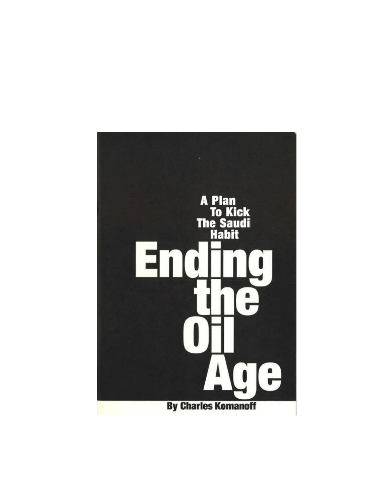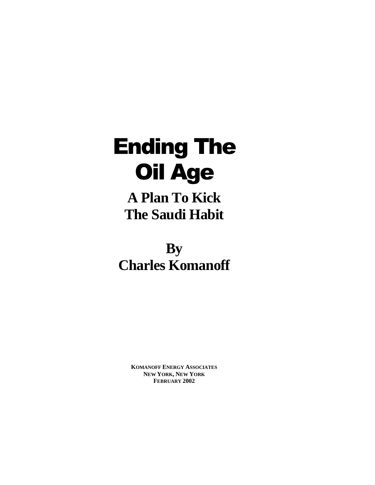# Ending The Oil Age

**A Plan To Kick The Saudi Habit**

**By Charles Komanoff**

> **KOMANOFF ENERGY ASSOCIATES NEW YORK, NEW YORK FEBRUARY 2002**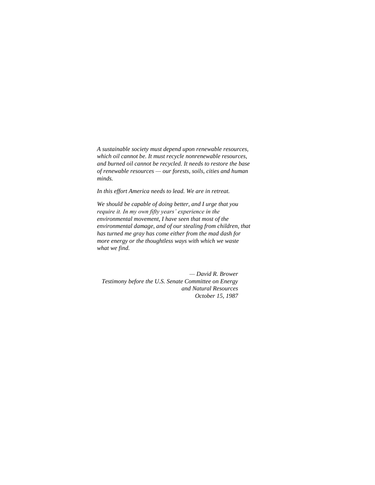*A sustainable society must depend upon renewable resources, which oil cannot be. It must recycle nonrenewable resources, and burned oil cannot be recycled. It needs to restore the base of renewable resources — our forests, soils, cities and human minds.* 

*In this effort America needs to lead. We are in retreat.*

*We should be capable of doing better, and I urge that you require it. In my own fifty years' experience in the environmental movement, I have seen that most of the environmental damage, and of our stealing from children, that has turned me gray has come either from the mad dash for more energy or the thoughtless ways with which we waste what we find.*

*— David R. Brower Testimony before the U.S. Senate Committee on Energy and Natural Resources October 15, 1987*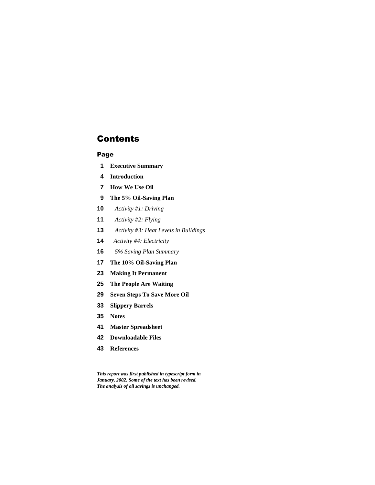# **Contents**

## Page

- **Executive Summary**
- **Introduction**
- **How We Use Oil**
- **The 5% Oil-Saving Plan**
- *Activity #1: Driving*
- *Activity #2: Flying*
- *Activity #3: Heat Levels in Buildings*
- *Activity #4: Electricity*
- *5% Saving Plan Summary*
- **The 10% Oil-Saving Plan**
- **Making It Permanent**
- **The People Are Waiting**
- **Seven Steps To Save More Oil**
- **Slippery Barrels**
- **Notes**
- **Master Spreadsheet**
- **Downloadable Files**
- **References**

*This report was first published in typescript form in January, 2002. Some of the text has been revised. The analysis of oil savings is unchanged.*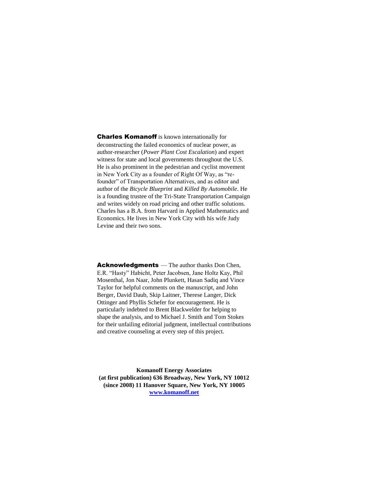Charles Komanoff is known internationally for deconstructing the failed economics of nuclear power, as author-researcher (*Power Plant Cost Escalation*) and expert witness for state and local governments throughout the U.S. He is also prominent in the pedestrian and cyclist movement in New York City as a founder of Right Of Way, as "refounder" of Transportation Alternatives, and as editor and author of the *Bicycle Blueprint* and *Killed By Automobile*. He is a founding trustee of the Tri-State Transportation Campaign and writes widely on road pricing and other traffic solutions. Charles has a B.A. from Harvard in Applied Mathematics and Economics. He lives in New York City with his wife Judy Levine and their two sons.

Acknowledgments — The author thanks Don Chen, E.R. "Hasty" Habicht, Peter Jacobsen, Jane Holtz Kay, Phil Mosenthal, Jon Naar, John Plunkett, Hasan Sadiq and Vince Taylor for helpful comments on the manuscript, and John Berger, David Daub, Skip Laitner, Therese Langer, Dick Ottinger and Phyllis Schefer for encouragement. He is particularly indebted to Brent Blackwelder for helping to shape the analysis, and to Michael J. Smith and Tom Stokes for their unfailing editorial judgment, intellectual contributions and creative counseling at every step of this project.

**Komanoff Energy Associates (at first publication) 636 Broadway, New York, NY 10012 (since 2008) 11 Hanover Square, New York, NY 10005 www.komanoff.net**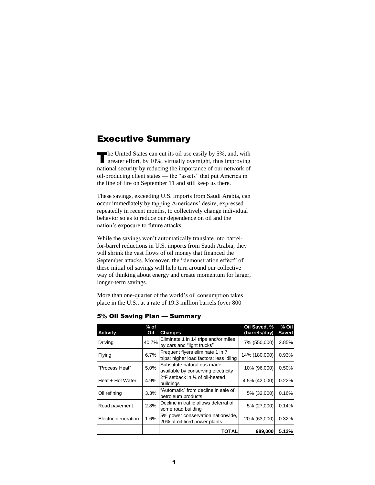# Executive Summary

he United States can cut its oil use easily by 5%, and, with The United States can cut its oil use easily by 5%, and, with greater effort, by 10%, virtually overnight, thus improving national security by reducing the importance of our network of oil-producing client states — the "assets" that put America in the line of fire on September 11 and still keep us there.

These savings, exceeding U.S. imports from Saudi Arabia, can occur immediately by tapping Americans' desire, expressed repeatedly in recent months, to collectively change individual behavior so as to reduce our dependence on oil and the nation's exposure to future attacks.

While the savings won't automatically translate into barrelfor-barrel reductions in U.S. imports from Saudi Arabia, they will shrink the vast flows of oil money that financed the September attacks. Moreover, the "demonstration effect" of these initial oil savings will help turn around our collective way of thinking about energy and create momentum for larger, longer-term savings.

More than one-quarter of the world's oil consumption takes place in the U.S., at a rate of 19.3 million barrels (over 800

| <b>Activity</b>     | % of<br>Oil | <b>Changes</b>                                                              | Oil Saved, %<br>(barrels/day) | % Oil<br>Saved |
|---------------------|-------------|-----------------------------------------------------------------------------|-------------------------------|----------------|
| Driving             | 40.7%       | Eliminate 1 in 14 trips and/or miles<br>by cars and "light trucks"          | 7% (550,000)                  | 2.85%          |
| Flying              | 6.7%        | Frequent flyers eliminate 1 in 7<br>trips; higher load factors; less idling | 14% (180,000)                 | 0.93%          |
| "Process Heat"      | 5.0%        | Substitute natural gas made<br>available by conserving electricity          | 10% (96,000)                  | 0.50%          |
| Heat + Hot Water    | 4.9%        | 2°F setback in 34 of oil-heated<br>buildings                                | 4.5% (42,000)                 | 0.22%          |
| Oil refining        | 3.3%        | "Automatic" from decline in sale of<br>petroleum products                   | 5% (32,000)                   | 0.16%          |
| Road pavement       | 2.8%        | Decline in traffic allows deferral of<br>some road building                 | 5% (27,000)                   | 0.14%          |
| Electric generation | 1.6%        | 5% power conservation nationwide,<br>20% at oil-fired power plants          | 20% (63,000)                  | 0.32%          |
|                     |             | TOTAL                                                                       | 989,000                       | 5.12%          |

5% Oil Saving Plan — Summary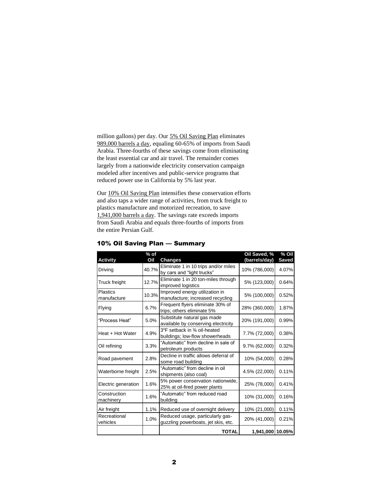million gallons) per day. Our 5% Oil Saving Plan eliminates 989,000 barrels a day, equaling 60-65% of imports from Saudi Arabia. Three-fourths of these savings come from eliminating the least essential car and air travel. The remainder comes largely from a nationwide electricity conservation campaign modeled after incentives and public-service programs that reduced power use in California by 5% last year.

Our 10% Oil Saving Plan intensifies these conservation efforts and also taps a wider range of activities, from truck freight to plastics manufacture and motorized recreation, to save 1,941,000 barrels a day. The savings rate exceeds imports from Saudi Arabia and equals three-fourths of imports from the entire Persian Gulf.

| <b>Activity</b>                | $%$ of<br>Oil | <b>Changes</b>                                                          | Oil Saved, %<br>(barrels/day) | % Oil<br><b>Saved</b> |
|--------------------------------|---------------|-------------------------------------------------------------------------|-------------------------------|-----------------------|
| Driving                        | 40.7%         | Eliminate 1 in 10 trips and/or miles<br>by cars and "light trucks"      | 10% (786,000)                 | 4.07%                 |
| Truck freight                  | 12.7%         | Eliminate 1 in 20 ton-miles through<br>improved logistics               | 5% (123,000)                  | 0.64%                 |
| <b>Plastics</b><br>manufacture | 10.3%         | Improved energy utilization in<br>manufacture; increased recycling      | 5% (100,000)                  | 0.52%                 |
| Flying                         | 6.7%          | Frequent flyers eliminate 30% of<br>trips; others eliminate 5%          | 28% (360,000)                 | 1.87%                 |
| "Process Heat"                 | 5.0%          | Substitute natural gas made<br>available by conserving electricity      | 20% (191,000)                 | 0.99%                 |
| Heat + Hot Water               | 4.9%          | 3°F setback in 3⁄4 oil-heated<br>buildings; low-flow showerheads        | 7.7% (72,000)                 | 0.38%                 |
| Oil refining                   | 3.3%          | "Automatic" from decline in sale of<br>petroleum products               | 9.7% (62,000)                 | 0.32%                 |
| Road pavement                  | 2.8%          | Decline in traffic allows deferral of<br>some road building             | 10% (54,000)                  | 0.28%                 |
| Waterborne freight             | 2.5%          | "Automatic" from decline in oil<br>shipments (also coal)                | 4.5% (22,000)                 | 0.11%                 |
| Electric generation            | 1.6%          | 5% power conservation nationwide,<br>25% at oil-fired power plants      | 25% (78,000)                  | 0.41%                 |
| Construction<br>machinery      | 1.6%          | "Automatic" from reduced road<br>building                               | 10% (31,000)                  | 0.16%                 |
| Air freight                    | 1.1%          | Reduced use of overnight delivery                                       | 10% (21,000)                  | 0.11%                 |
| Recreational<br>vehicles       | 1.0%          | Reduced usage, particularly gas-<br>guzzling powerboats, jet skis, etc. | 20% (41,000)                  | 0.21%                 |
|                                |               | <b>TOTAL</b>                                                            | 1,941,000 10.05%              |                       |

## 10% Oil Saving Plan — Summary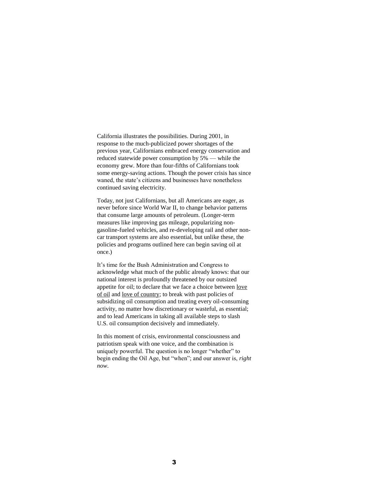California illustrates the possibilities. During 2001, in response to the much-publicized power shortages of the previous year, Californians embraced energy conservation and reduced statewide power consumption by 5% — while the economy grew. More than four-fifths of Californians took some energy-saving actions. Though the power crisis has since waned, the state's citizens and businesses have nonetheless continued saving electricity.

Today, not just Californians, but all Americans are eager, as never before since World War II, to change behavior patterns that consume large amounts of petroleum. (Longer-term measures like improving gas mileage, popularizing nongasoline-fueled vehicles, and re-developing rail and other noncar transport systems are also essential, but unlike these, the policies and programs outlined here can begin saving oil at once.)

It's time for the Bush Administration and Congress to acknowledge what much of the public already knows: that our national interest is profoundly threatened by our outsized appetite for oil; to declare that we face a choice between love of oil and love of country; to break with past policies of subsidizing oil consumption and treating every oil-consuming activity, no matter how discretionary or wasteful, as essential; and to lead Americans in taking all available steps to slash U.S. oil consumption decisively and immediately.

In this moment of crisis, environmental consciousness and patriotism speak with one voice, and the combination is uniquely powerful. The question is no longer "whether" to begin ending the Oil Age, but "when"; and our answer is, *right now*.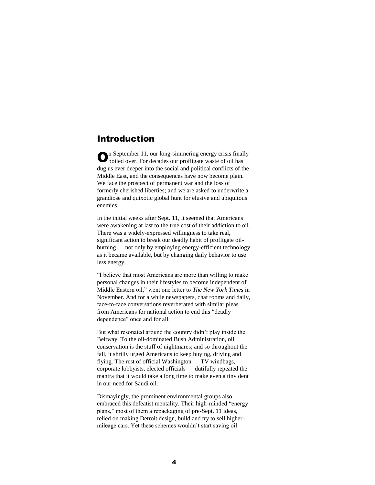# Introduction

n September 11, our long-simmering energy crisis finally **O**n September 11, our long-simmering energy crisis finall boiled over. For decades our profligate waste of oil has dug us ever deeper into the social and political conflicts of the Middle East, and the consequences have now become plain. We face the prospect of permanent war and the loss of formerly cherished liberties; and we are asked to underwrite a grandiose and quixotic global hunt for elusive and ubiquitous enemies.

In the initial weeks after Sept. 11, it seemed that Americans were awakening at last to the true cost of their addiction to oil. There was a widely-expressed willingness to take real, significant action to break our deadly habit of profligate oilburning — not only by employing energy-efficient technology as it became available, but by changing daily behavior to use less energy.

"I believe that most Americans are more than willing to make personal changes in their lifestyles to become independent of Middle Eastern oil," went one letter to *The New York Times* in November. And for a while newspapers, chat rooms and daily, face-to-face conversations reverberated with similar pleas from Americans for national action to end this "deadly dependence" once and for all.

But what resonated around the country didn't play inside the Beltway. To the oil-dominated Bush Administration, oil conservation is the stuff of nightmares; and so throughout the fall, it shrilly urged Americans to keep buying, driving and flying. The rest of official Washington — TV windbags, corporate lobbyists, elected officials — dutifully repeated the mantra that it would take a long time to make even a tiny dent in our need for Saudi oil.

Dismayingly, the prominent environmental groups also embraced this defeatist mentality. Their high-minded "energy plans," most of them a repackaging of pre-Sept. 11 ideas, relied on making Detroit design, build and try to sell highermileage cars. Yet these schemes wouldn't start saving oil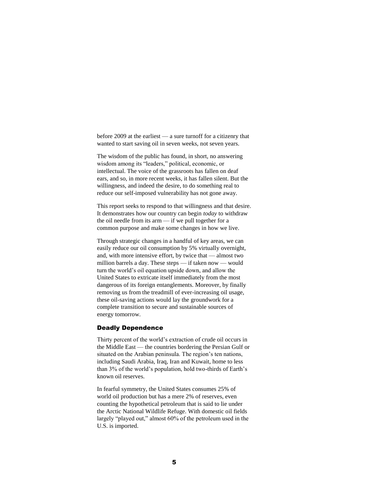before 2009 at the earliest — a sure turnoff for a citizenry that wanted to start saving oil in seven weeks, not seven years.

The wisdom of the public has found, in short, no answering wisdom among its "leaders," political, economic, or intellectual. The voice of the grassroots has fallen on deaf ears, and so, in more recent weeks, it has fallen silent. But the willingness, and indeed the desire, to do something real to reduce our self-imposed vulnerability has not gone away.

This report seeks to respond to that willingness and that desire. It demonstrates how our country can begin *today* to withdraw the oil needle from its arm — if we pull together for a common purpose and make some changes in how we live.

Through strategic changes in a handful of key areas, we can easily reduce our oil consumption by 5% virtually overnight, and, with more intensive effort, by twice that — almost two million barrels a day. These steps — if taken now — would turn the world's oil equation upside down, and allow the United States to extricate itself immediately from the most dangerous of its foreign entanglements. Moreover, by finally removing us from the treadmill of ever-increasing oil usage, these oil-saving actions would lay the groundwork for a complete transition to secure and sustainable sources of energy tomorrow.

#### Deadly Dependence

Thirty percent of the world's extraction of crude oil occurs in the Middle East — the countries bordering the Persian Gulf or situated on the Arabian peninsula. The region's ten nations, including Saudi Arabia, Iraq, Iran and Kuwait, home to less than 3% of the world's population, hold two-thirds of Earth's known oil reserves.

In fearful symmetry, the United States consumes 25% of world oil production but has a mere 2% of reserves, even counting the hypothetical petroleum that is said to lie under the Arctic National Wildlife Refuge. With domestic oil fields largely "played out," almost 60% of the petroleum used in the U.S. is imported.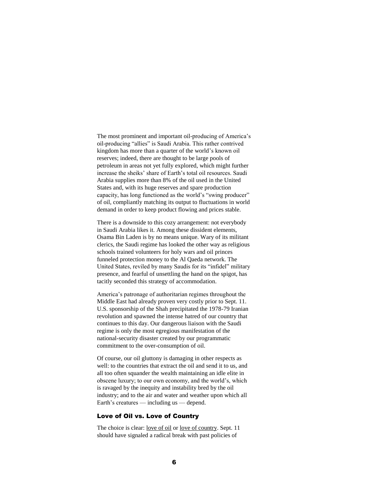The most prominent and important oil-producing of America's oil-producing "allies" is Saudi Arabia. This rather contrived kingdom has more than a quarter of the world's known oil reserves; indeed, there are thought to be large pools of petroleum in areas not yet fully explored, which might further increase the sheiks' share of Earth's total oil resources. Saudi Arabia supplies more than 8% of the oil used in the United States and, with its huge reserves and spare production capacity, has long functioned as the world's "swing producer" of oil, compliantly matching its output to fluctuations in world demand in order to keep product flowing and prices stable.

There is a downside to this cozy arrangement: not everybody in Saudi Arabia likes it. Among these dissident elements, Osama Bin Laden is by no means unique. Wary of its militant clerics, the Saudi regime has looked the other way as religious schools trained volunteers for holy wars and oil princes funneled protection money to the Al Qaeda network. The United States, reviled by many Saudis for its "infidel" military presence, and fearful of unsettling the hand on the spigot, has tacitly seconded this strategy of accommodation.

America's patronage of authoritarian regimes throughout the Middle East had already proven very costly prior to Sept. 11. U.S. sponsorship of the Shah precipitated the 1978-79 Iranian revolution and spawned the intense hatred of our country that continues to this day. Our dangerous liaison with the Saudi regime is only the most egregious manifestation of the national-security disaster created by our programmatic commitment to the over-consumption of oil.

Of course, our oil gluttony is damaging in other respects as well: to the countries that extract the oil and send it to us, and all too often squander the wealth maintaining an idle elite in obscene luxury; to our own economy, and the world's, which is ravaged by the inequity and instability bred by the oil industry; and to the air and water and weather upon which all Earth's creatures — including us — depend.

## Love of Oil vs. Love of Country

The choice is clear: love of oil or love of country. Sept. 11 should have signaled a radical break with past policies of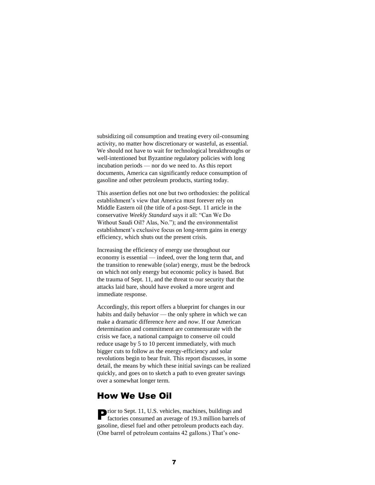subsidizing oil consumption and treating every oil-consuming activity, no matter how discretionary or wasteful, as essential. We should not have to wait for technological breakthroughs or well-intentioned but Byzantine regulatory policies with long incubation periods — nor do we need to. As this report documents, America can significantly reduce consumption of gasoline and other petroleum products, starting today.

This assertion defies not one but two orthodoxies: the political establishment's view that America must forever rely on Middle Eastern oil (the title of a post-Sept. 11 article in the conservative *Weekly Standard* says it all: "Can We Do Without Saudi Oil? Alas, No."); and the environmentalist establishment's exclusive focus on long-term gains in energy efficiency, which shuts out the present crisis.

Increasing the efficiency of energy use throughout our economy is essential — indeed, over the long term that, and the transition to renewable (solar) energy, must be the bedrock on which not only energy but economic policy is based. But the trauma of Sept. 11, and the threat to our security that the attacks laid bare, should have evoked a more urgent and immediate response.

Accordingly, this report offers a blueprint for changes in our habits and daily behavior — the only sphere in which we can make a dramatic difference *here* and *now*. If our American determination and commitment are commensurate with the crisis we face, a national campaign to conserve oil could reduce usage by 5 to 10 percent immediately, with much bigger cuts to follow as the energy-efficiency and solar revolutions begin to bear fruit. This report discusses, in some detail, the means by which these initial savings can be realized quickly, and goes on to sketch a path to even greater savings over a somewhat longer term.

# How We Use Oil

**P**rior to Sept. 11, U.S. vehicles, machines, buildings and factories consumed an average of 19.3 million barrels of factories consumed an average of 19.3 million barrels of gasoline, diesel fuel and other petroleum products each day. (One barrel of petroleum contains 42 gallons.) That's one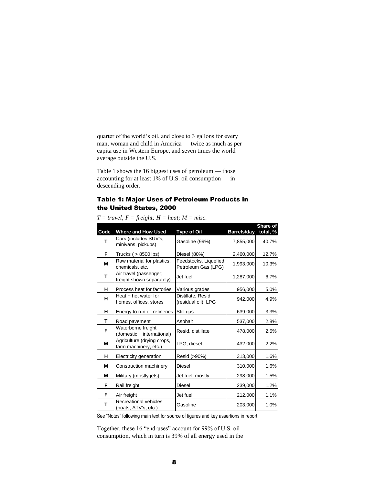quarter of the world's oil, and close to 3 gallons for every man, woman and child in America — twice as much as per capita use in Western Europe, and seven times the world average outside the U.S.

Table 1 shows the 16 biggest uses of petroleum — those accounting for at least 1% of U.S. oil consumption — in descending order.

# Table 1: Major Uses of Petroleum Products in the United States, 2000

| Code | <b>Where and How Used</b>                           | <b>Type of Oil</b>                           | <b>Barrels/day</b> | Share of<br>total, $%$ |
|------|-----------------------------------------------------|----------------------------------------------|--------------------|------------------------|
| т    | Cars (includes SUV's,<br>minivans, pickups)         | Gasoline (99%)                               | 7,855,000          | 40.7%                  |
| F    | Trucks $( > 8500$ lbs)                              | Diesel (80%)                                 | 2,460,000          | 12.7%                  |
| M    | Raw material for plastics,<br>chemicals, etc.       | Feedstocks, Liquefied<br>Petroleum Gas (LPG) | 1,993.000          | 10.3%                  |
| T    | Air travel (passenger;<br>freight shown separately) | Jet fuel                                     | 1,287,000          | 6.7%                   |
| н    | Process heat for factories                          | Various grades                               | 956,000            | 5.0%                   |
| н    | Heat + hot water for<br>homes, offices, stores      | Distillate, Resid<br>(residual oil), LPG     | 942,000            | 4.9%                   |
| н    | Energy to run oil refineries                        | Still gas                                    | 639,000            | 3.3%                   |
| т    | Road pavement                                       | Asphalt                                      | 537,000            | 2.8%                   |
| F    | Waterborne freight<br>(domestic + international)    | Resid, distillate                            | 478,000            | 2.5%                   |
| M    | Agriculture (drying crops,<br>farm machinery, etc.) | LPG, diesel                                  | 432,000            | 2.2%                   |
| н    | Electricity generation                              | Resid (>90%)                                 | 313,000            | 1.6%                   |
| М    | Construction machinery                              | Diesel                                       | 310,000            | 1.6%                   |
| M    | Military (mostly jets)                              | Jet fuel, mostly                             | 298,000            | 1.5%                   |
| F    | Rail freight                                        | <b>Diesel</b>                                | 239,000            | 1.2%                   |
| F    | Air freight                                         | Jet fuel                                     | 212,000            | 1.1%                   |
| т    | Recreational vehicles<br>(boats, ATV's, etc.)       | Gasoline                                     | 203,000            | 1.0%                   |

 $T = travel$ ;  $F = freight$ ;  $H = heat$ ;  $M = miss$ .

See "Notes" following main text for source of figures and key assertions in report.

Together, these 16 "end-uses" account for 99% of U.S. oil consumption, which in turn is 39% of all energy used in the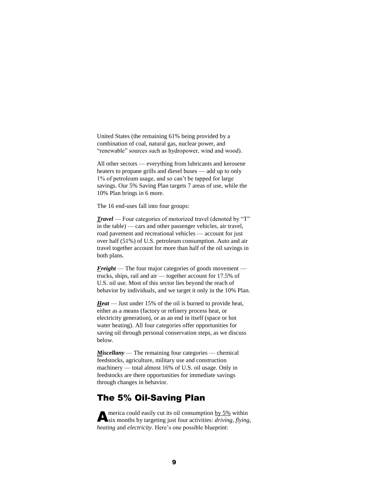United States (the remaining 61% being provided by a combination of coal, natural gas, nuclear power, and "renewable" sources such as hydropower, wind and wood).

All other sectors — everything from lubricants and kerosene heaters to propane grills and diesel buses — add up to only 1% of petroleum usage, and so can't be tapped for large savings. Our 5% Saving Plan targets 7 areas of use, while the 10% Plan brings in 6 more.

The 16 end-uses fall into four groups:

*Travel* — Four categories of motorized travel (denoted by "T" in the table) — cars and other passenger vehicles, air travel, road pavement and recreational vehicles — account for just over half (51%) of U.S. petroleum consumption. Auto and air travel together account for more than half of the oil savings in both plans.

*Freight* — The four major categories of goods movement trucks, ships, rail and air — together account for 17.5% of U.S. oil use. Most of this sector lies beyond the reach of behavior by individuals, and we target it only in the 10% Plan.

*Heat* — Just under 15% of the oil is burned to provide heat, either as a means (factory or refinery process heat, or electricity generation), or as an end in itself (space or hot water heating). All four categories offer opportunities for saving oil through personal conservation steps, as we discuss below.

*Miscellany* — The remaining four categories — chemical feedstocks, agriculture, military use and construction machinery — total almost 16% of U.S. oil usage. Only in feedstocks are there opportunities for immediate savings through changes in behavior.

# The 5% Oil-Saving Plan

merica could easily cut its oil consumption by 5% within **A** merica could easily cut its oil consumption by 5% within six months by targeting just four activities: *driving*, *flying*, *heating* and *electricity*. Here's one possible blueprint: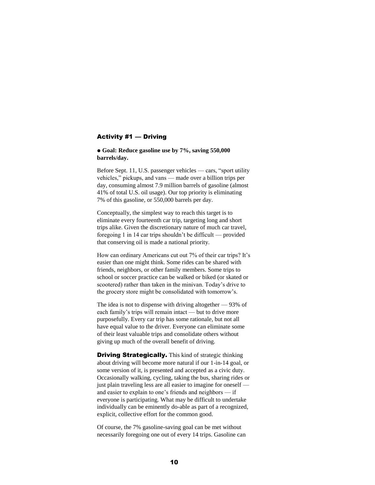#### Activity #1 — Driving

 **Goal: Reduce gasoline use by 7%, saving 550,000 barrels/day.**

Before Sept. 11, U.S. passenger vehicles — cars, "sport utility vehicles," pickups, and vans — made over a billion trips per day, consuming almost 7.9 million barrels of gasoline (almost 41% of total U.S. oil usage). Our top priority is eliminating 7% of this gasoline, or 550,000 barrels per day.

Conceptually, the simplest way to reach this target is to eliminate every fourteenth car trip, targeting long and short trips alike. Given the discretionary nature of much car travel, foregoing 1 in 14 car trips shouldn't be difficult — provided that conserving oil is made a national priority.

How can ordinary Americans cut out 7% of their car trips? It's easier than one might think. Some rides can be shared with friends, neighbors, or other family members. Some trips to school or soccer practice can be walked or biked (or skated or scootered) rather than taken in the minivan. Today's drive to the grocery store might be consolidated with tomorrow's.

The idea is not to dispense with driving altogether — 93% of each family's trips will remain intact — but to drive more purposefully. Every car trip has some rationale, but not all have equal value to the driver. Everyone can eliminate some of their least valuable trips and consolidate others without giving up much of the overall benefit of driving.

**Driving Strategically.** This kind of strategic thinking about driving will become more natural if our 1-in-14 goal, or some version of it, is presented and accepted as a civic duty. Occasionally walking, cycling, taking the bus, sharing rides or just plain traveling less are all easier to imagine for oneself and easier to explain to one's friends and neighbors — if everyone is participating. What may be difficult to undertake individually can be eminently do-able as part of a recognized, explicit, collective effort for the common good.

Of course, the 7% gasoline-saving goal can be met without necessarily foregoing one out of every 14 trips. Gasoline can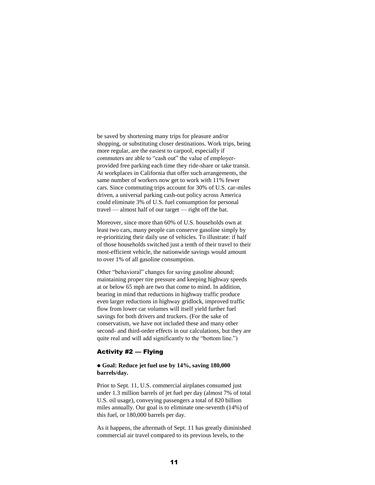be saved by shortening many trips for pleasure and/or shopping, or substituting closer destinations. Work trips, being more regular, are the easiest to carpool, especially if commuters are able to "cash out" the value of employerprovided free parking each time they ride-share or take transit. At workplaces in California that offer such arrangements, the same number of workers now get to work with 11% fewer cars. Since commuting trips account for 30% of U.S. car-miles driven, a universal parking cash-out policy across America could eliminate 3% of U.S. fuel consumption for personal travel — almost half of our target — right off the bat.

Moreover, since more than 60% of U.S. households own at least two cars, many people can conserve gasoline simply by re-prioritizing their daily use of vehicles. To illustrate: if half of those households switched just a tenth of their travel to their most-efficient vehicle, the nationwide savings would amount to over 1% of all gasoline consumption.

Other "behavioral" changes for saving gasoline abound; maintaining proper tire pressure and keeping highway speeds at or below 65 mph are two that come to mind. In addition, bearing in mind that reductions in highway traffic produce even larger reductions in highway gridlock, improved traffic flow from lower car volumes will itself yield further fuel savings for both drivers and truckers. (For the sake of conservatism, we have not included these and many other second- and third-order effects in our calculations, but they are quite real and will add significantly to the "bottom line.")

# Activity #2 — Flying

## **Goal: Reduce jet fuel use by 14%, saving 180,000 barrels/day.**

Prior to Sept. 11, U.S. commercial airplanes consumed just under 1.3 million barrels of jet fuel per day (almost 7% of total U.S. oil usage), conveying passengers a total of 820 billion miles annually. Our goal is to eliminate one-seventh (14%) of this fuel, or 180,000 barrels per day.

As it happens, the aftermath of Sept. 11 has greatly diminished commercial air travel compared to its previous levels, to the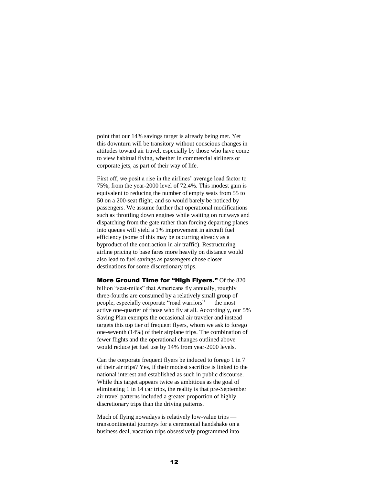point that our 14% savings target is already being met. Yet this downturn will be transitory without conscious changes in attitudes toward air travel, especially by those who have come to view habitual flying, whether in commercial airliners or corporate jets, as part of their way of life.

First off, we posit a rise in the airlines' average load factor to 75%, from the year-2000 level of 72.4%. This modest gain is equivalent to reducing the number of empty seats from 55 to 50 on a 200-seat flight, and so would barely be noticed by passengers. We assume further that operational modifications such as throttling down engines while waiting on runways and dispatching from the gate rather than forcing departing planes into queues will yield a 1% improvement in aircraft fuel efficiency (some of this may be occurring already as a byproduct of the contraction in air traffic). Restructuring airline pricing to base fares more heavily on distance would also lead to fuel savings as passengers chose closer destinations for some discretionary trips.

More Ground Time for "High Flyers." Of the 820 billion "seat-miles" that Americans fly annually, roughly three-fourths are consumed by a relatively small group of people, especially corporate "road warriors" — the most active one-quarter of those who fly at all. Accordingly, our 5% Saving Plan exempts the occasional air traveler and instead targets this top tier of frequent flyers, whom we ask to forego one-seventh (14%) of their airplane trips. The combination of fewer flights and the operational changes outlined above would reduce jet fuel use by 14% from year-2000 levels.

Can the corporate frequent flyers be induced to forego 1 in 7 of their air trips? Yes, if their modest sacrifice is linked to the national interest and established as such in public discourse. While this target appears twice as ambitious as the goal of eliminating 1 in 14 car trips, the reality is that pre-September air travel patterns included a greater proportion of highly discretionary trips than the driving patterns.

Much of flying nowadays is relatively low-value trips transcontinental journeys for a ceremonial handshake on a business deal, vacation trips obsessively programmed into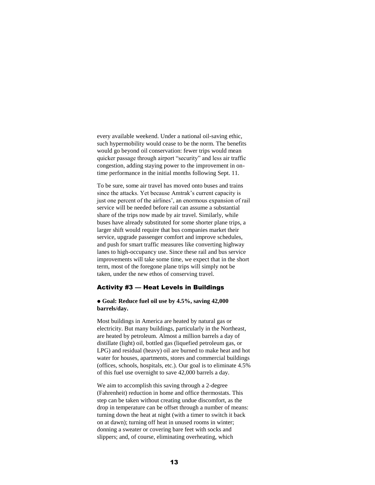every available weekend. Under a national oil-saving ethic, such hypermobility would cease to be the norm. The benefits would go beyond oil conservation: fewer trips would mean quicker passage through airport "security" and less air traffic congestion, adding staying power to the improvement in ontime performance in the initial months following Sept. 11.

To be sure, some air travel has moved onto buses and trains since the attacks. Yet because Amtrak's current capacity is just one percent of the airlines', an enormous expansion of rail service will be needed before rail can assume a substantial share of the trips now made by air travel. Similarly, while buses have already substituted for some shorter plane trips, a larger shift would require that bus companies market their service, upgrade passenger comfort and improve schedules, and push for smart traffic measures like converting highway lanes to high-occupancy use. Since these rail and bus service improvements will take some time, we expect that in the short term, most of the foregone plane trips will simply not be taken, under the new ethos of conserving travel.

#### Activity #3 — Heat Levels in Buildings

#### **Goal: Reduce fuel oil use by 4.5%, saving 42,000 barrels/day.**

Most buildings in America are heated by natural gas or electricity. But many buildings, particularly in the Northeast, are heated by petroleum. Almost a million barrels a day of distillate (light) oil, bottled gas (liquefied petroleum gas, or LPG) and residual (heavy) oil are burned to make heat and hot water for houses, apartments, stores and commercial buildings (offices, schools, hospitals, etc.). Our goal is to eliminate 4.5% of this fuel use overnight to save 42,000 barrels a day.

We aim to accomplish this saving through a 2-degree (Fahrenheit) reduction in home and office thermostats. This step can be taken without creating undue discomfort, as the drop in temperature can be offset through a number of means: turning down the heat at night (with a timer to switch it back on at dawn); turning off heat in unused rooms in winter; donning a sweater or covering bare feet with socks and slippers; and, of course, eliminating overheating, which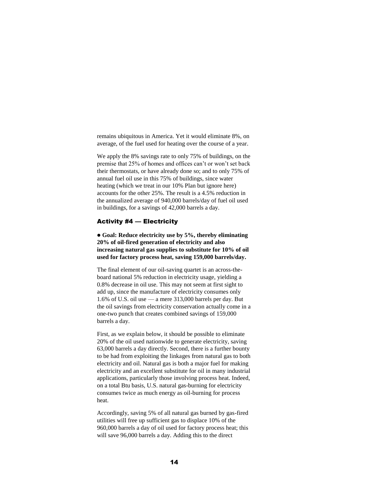remains ubiquitous in America. Yet it would eliminate 8%, on average, of the fuel used for heating over the course of a year.

We apply the 8% savings rate to only 75% of buildings, on the premise that 25% of homes and offices can't or won't set back their thermostats, or have already done so; and to only 75% of annual fuel oil use in this 75% of buildings, since water heating (which we treat in our 10% Plan but ignore here) accounts for the other 25%. The result is a 4.5% reduction in the annualized average of 940,000 barrels/day of fuel oil used in buildings, for a savings of 42,000 barrels a day.

### Activity #4 — Electricity

 **Goal: Reduce electricity use by 5%, thereby eliminating 20% of oil-fired generation of electricity and also increasing natural gas supplies to substitute for 10% of oil used for factory process heat, saving 159,000 barrels/day.** 

The final element of our oil-saving quartet is an across-theboard national 5% reduction in electricity usage, yielding a 0.8% decrease in oil use. This may not seem at first sight to add up, since the manufacture of electricity consumes only 1.6% of U.S. oil use — a mere 313,000 barrels per day. But the oil savings from electricity conservation actually come in a one-two punch that creates combined savings of 159,000 barrels a day.

First, as we explain below, it should be possible to eliminate 20% of the oil used nationwide to generate electricity, saving 63,000 barrels a day directly. Second, there is a further bounty to be had from exploiting the linkages from natural gas to both electricity and oil. Natural gas is both a major fuel for making electricity and an excellent substitute for oil in many industrial applications, particularly those involving process heat. Indeed, on a total Btu basis, U.S. natural gas-burning for electricity consumes twice as much energy as oil-burning for process heat.

Accordingly, saving 5% of all natural gas burned by gas-fired utilities will free up sufficient gas to displace 10% of the 960,000 barrels a day of oil used for factory process heat; this will save 96,000 barrels a day. Adding this to the direct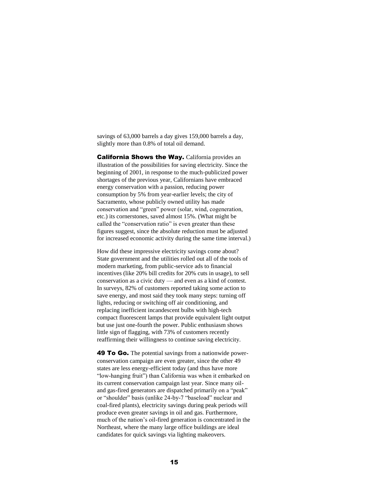savings of 63,000 barrels a day gives 159,000 barrels a day, slightly more than 0.8% of total oil demand.

**California Shows the Way.** California provides an illustration of the possibilities for saving electricity. Since the beginning of 2001, in response to the much-publicized power shortages of the previous year, Californians have embraced energy conservation with a passion, reducing power consumption by 5% from year-earlier levels; the city of Sacramento, whose publicly owned utility has made conservation and "green" power (solar, wind, cogeneration, etc.) its cornerstones, saved almost 15%. (What might be called the "conservation ratio" is even greater than these figures suggest, since the absolute reduction must be adjusted for increased economic activity during the same time interval.)

How did these impressive electricity savings come about? State government and the utilities rolled out all of the tools of modern marketing, from public-service ads to financial incentives (like 20% bill credits for 20% cuts in usage), to sell conservation as a civic duty — and even as a kind of contest. In surveys, 82% of customers reported taking some action to save energy, and most said they took many steps: turning off lights, reducing or switching off air conditioning, and replacing inefficient incandescent bulbs with high-tech compact fluorescent lamps that provide equivalent light output but use just one-fourth the power. Public enthusiasm shows little sign of flagging, with 73% of customers recently reaffirming their willingness to continue saving electricity.

**49 To Go.** The potential savings from a nationwide powerconservation campaign are even greater, since the other 49 states are less energy-efficient today (and thus have more "low-hanging fruit") than California was when it embarked on its current conservation campaign last year. Since many oiland gas-fired generators are dispatched primarily on a "peak" or "shoulder" basis (unlike 24-by-7 "baseload" nuclear and coal-fired plants), electricity savings during peak periods will produce even greater savings in oil and gas. Furthermore, much of the nation's oil-fired generation is concentrated in the Northeast, where the many large office buildings are ideal candidates for quick savings via lighting makeovers.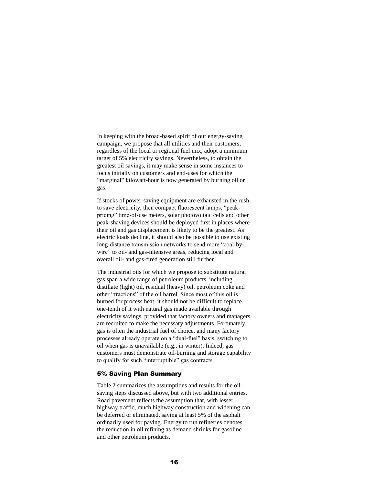In keeping with the broad-based spirit of our energy-saving campaign, we propose that all utilities and their customers, regardless of the local or regional fuel mix, adopt a minimum target of 5% electricity savings. Nevertheless, to obtain the greatest oil savings, it may make sense in some instances to focus initially on customers and end-uses for which the "marginal" kilowatt-hour is now generated by burning oil or gas.

If stocks of power-saving equipment are exhausted in the rush to save electricity, then compact fluorescent lamps, "peakpricing" time-of-use meters, solar photovoltaic cells and other peak-shaving devices should be deployed first in places where their oil and gas displacement is likely to be the greatest. As electric loads decline, it should also be possible to use existing long-distance transmission networks to send more "coal-bywire" to oil- and gas-intensive areas, reducing local and overall oil- and gas-fired generation still further.

The industrial oils for which we propose to substitute natural gas span a wide range of petroleum products, including distillate (light) oil, residual (heavy) oil, petroleum coke and other "fractions" of the oil barrel. Since most of this oil is burned for process heat, it should not be difficult to replace one-tenth of it with natural gas made available through electricity savings, provided that factory owners and managers are recruited to make the necessary adjustments. Fortunately, gas is often the industrial fuel of choice, and many factory processes already operate on a "dual-fuel" basis, switching to oil when gas is unavailable (e.g., in winter). Indeed, gas customers must demonstrate oil-burning and storage capability to qualify for such "interruptible" gas contracts.

## 5% Saving Plan Summary

Table 2 summarizes the assumptions and results for the oilsaving steps discussed above, but with two additional entries. Road pavement reflects the assumption that, with lesser highway traffic, much highway construction and widening can be deferred or eliminated, saving at least 5% of the asphalt ordinarily used for paving. Energy to run refineries denotes the reduction in oil refining as demand shrinks for gasoline and other petroleum products.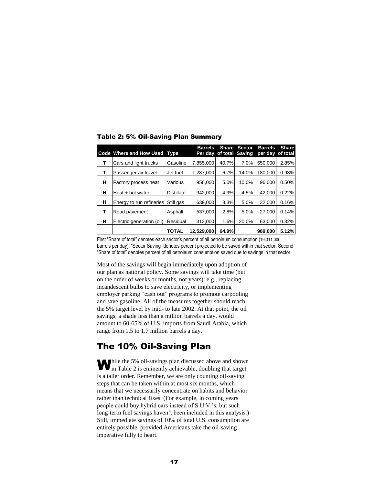|   | Code Where and How Used Type |                   | <b>Barrels</b> | Per day of total Saving | <b>Share Sector</b> | <b>Barrels</b><br>per day | <b>Share</b><br>of total |
|---|------------------------------|-------------------|----------------|-------------------------|---------------------|---------------------------|--------------------------|
|   | Cars and light trucks        | Gasoline          | 7,855,000      | 40.7%                   | 7.0%                | 550.000                   | 2.85%                    |
| т | Passenger air travel         | Jet fuel          | 1,287,000      | 6.7%                    | 14.0%               | 180.000                   | 0.93%                    |
| н | Factory process heat         | Various           | 956,000        | 5.0%                    | 10.0%               | 96,000                    | 0.50%                    |
| н | Heat + hot water             | <b>Distillate</b> | 942,000        | 4.9%                    | 4.5%                | 42,000                    | 0.22%                    |
| н | Energy to run refineries     | Still gas         | 639,000        | 3.3%                    | 5.0%                | 32,000                    | 0.16%                    |
| т | Road pavement                | Asphalt           | 537,000        | 2.8%                    | 5.0%                | 27,000                    | 0.14%                    |
| н | Electric generation (oil)    | Residual          | 313,000        | 1.6%                    | 20.0%               | 63,000                    | 0.32%                    |
|   |                              | TOTAL             | 12.529.000     | 64.9%                   |                     | 989,000                   | 5.12%                    |

Table 2: 5% Oil-Saving Plan Summary

First "Share of total" denotes each sector's percent of all petroleum consumption (19,311,000 barrels per day). "Sector Saving" denotes percent projected to be saved within that sector. Second "Share of total" denotes percent of all petroleum consumption saved due to savings in that sector.

Most of the savings will begin immediately upon adoption of our plan as national policy. Some savings will take time (but on the order of weeks or months, not years): e.g., replacing incandescent bulbs to save electricity, or implementing employer parking "cash out" programs to promote carpooling and save gasoline. All of the measures together should reach the 5% target level by mid- to late 2002. At that point, the oil savings, a shade less than a million barrels a day, would amount to 60-65% of U.S. imports from Saudi Arabia, which range from 1.5 to 1.7 million barrels a day.

# The 10% Oil-Saving Plan

**M** hile the 5% oil-savings plan discussed above and shown in Table 2 is eminently achievable, doubling that target  $\blacksquare$  in Table 2 is eminently achievable, doubling that target is a taller order. Remember, we are only counting oil-saving steps that can be taken within at most six months, which means that we necessarily concentrate on habits and behavior rather than technical fixes. (For example, in coming years people could buy hybrid cars instead of S.U.V.'s, but such long-term fuel savings haven't been included in this analysis.) Still, immediate savings of 10% of total U.S. consumption are entirely possible, provided Americans take the oil-saving imperative fully to heart.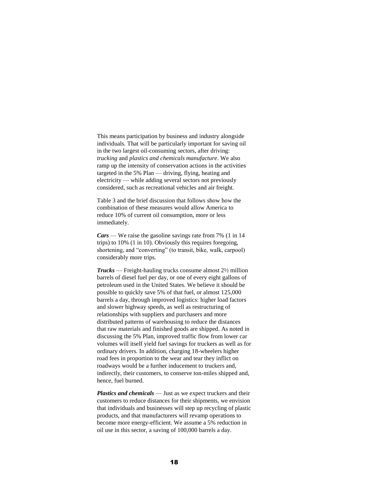This means participation by business and industry alongside individuals. That will be particularly important for saving oil in the two largest oil-consuming sectors, after driving: *trucking* and *plastics and chemicals manufacture*. We also ramp up the intensity of conservation actions in the activities targeted in the 5% Plan — driving, flying, heating and electricity — while adding several sectors not previously considered, such as recreational vehicles and air freight.

Table 3 and the brief discussion that follows show how the combination of these measures would allow America to reduce 10% of current oil consumption, more or less immediately.

*Cars* — We raise the gasoline savings rate from 7% (1 in 14 trips) to 10% (1 in 10). Obviously this requires foregoing, shortening, and "converting" (to transit, bike, walk, carpool) considerably more trips.

*Trucks* — Freight-hauling trucks consume almost 2½ million barrels of diesel fuel per day, or one of every eight gallons of petroleum used in the United States. We believe it should be possible to quickly save 5% of that fuel, or almost 125,000 barrels a day, through improved logistics: higher load factors and slower highway speeds, as well as restructuring of relationships with suppliers and purchasers and more distributed patterns of warehousing to reduce the distances that raw materials and finished goods are shipped. As noted in discussing the 5% Plan, improved traffic flow from lower car volumes will itself yield fuel savings for truckers as well as for ordinary drivers. In addition, charging 18-wheelers higher road fees in proportion to the wear and tear they inflict on roadways would be a further inducement to truckers and, indirectly, their customers, to conserve ton-miles shipped and, hence, fuel burned.

*Plastics and chemicals* — Just as we expect truckers and their customers to reduce distances for their shipments, we envision that individuals and businesses will step up recycling of plastic products, and that manufacturers will revamp operations to become more energy-efficient. We assume a 5% reduction in oil use in this sector, a saving of 100,000 barrels a day.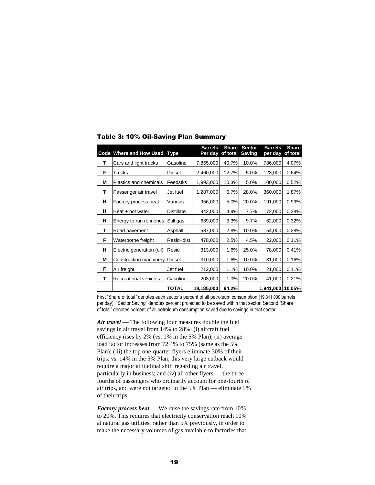|   | Code Where and How Used   | <b>Type</b>       | <b>Barrels</b><br>Per day | <b>Share</b><br>of total | <b>Sector</b><br><b>Saving</b> | <b>Barrels</b><br>per day | <b>Share</b><br>of total |
|---|---------------------------|-------------------|---------------------------|--------------------------|--------------------------------|---------------------------|--------------------------|
| т | Cars and light trucks     | Gasoline          | 7,855,000                 | 40.7%                    | 10.0%                          | 786,000                   | 4.07%                    |
| F | Trucks                    | Diesel            | 2,460,000                 | 12.7%                    | 5.0%                           | 123,000                   | 0.64%                    |
| М | Plastics and chemicals    | Feedstks          | 1,993,000                 | 10.3%                    | 5.0%                           | 100,000                   | 0.52%                    |
| т | Passenger air travel      | Jet fuel          | 1,287,000                 | 6.7%                     | 28.0%                          | 360,000                   | 1.87%                    |
| н | Factory process heat      | Various           | 956,000                   | 5.0%                     | 20.0%                          | 191,000                   | 0.99%                    |
| н | Heat + hot water          | <b>Distillate</b> | 942,000                   | 4.9%                     | 7.7%                           | 72,000                    | 0.38%                    |
| н | Energy to run refineries  | Still gas         | 639,000                   | 3.3%                     | 9.7%                           | 62,000                    | 0.32%                    |
| т | Road pavement             | Asphalt           | 537,000                   | 2.8%                     | 10.0%                          | 54,000                    | 0.28%                    |
| F | Waterborne freight        | Resid+dist        | 478,000                   | 2.5%                     | 4.5%                           | 22,000                    | 0.11%                    |
| н | Electric generation (oil) | Resid             | 313,000                   | 1.6%                     | 25.0%                          | 78,000                    | 0.41%                    |
| М | Construction machinery    | Diesel            | 310,000                   | 1.6%                     | 10.0%                          | 31,000                    | 0.16%                    |
| F | Air freight               | Jet fuel          | 212,000                   | 1.1%                     | 10.0%                          | 21,000                    | 0.11%                    |
| т | Recreational vehicles     | Gasoline          | 203,000                   | 1.0%                     | 20.0%                          | 41,000                    | 0.21%                    |
|   |                           | TOTAL             | 18,185,000                | 94.2%                    |                                | 1,941,000 10.05%          |                          |

Table 3: 10% Oil-Saving Plan Summary

First "Share of total" denotes each sector's percent of all petroleum consumption (19,311,000 barrels per day). "Sector Saving" denotes percent projected to be saved within that sector. Second "Share of total" denotes percent of all petroleum consumption saved due to savings in that sector.

*Air travel* — The following four measures double the fuel savings in air travel from 14% to 28%: (i) aircraft fuel efficiency rises by 2% (vs. 1% in the 5% Plan); (ii) average load factor increases from 72.4% to 75% (same as the 5% Plan); (iii) the top one-quarter flyers eliminate 30% of their trips, vs. 14% in the 5% Plan; this very large cutback would require a major attitudinal shift regarding air travel, particularly in business; and (iv) all other flyers — the threefourths of passengers who ordinarily account for one-fourth of air trips, and were not targeted in the 5% Plan — eliminate 5% of their trips.

*Factory process heat* — We raise the savings rate from 10% to 20%. This requires that electricity conservation reach 10% at natural gas utilities, rather than 5% previously, in order to make the necessary volumes of gas available to factories that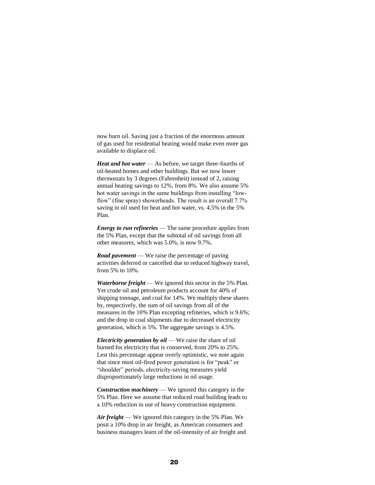now burn oil. Saving just a fraction of the enormous amount of gas used for residential heating would make even more gas available to displace oil.

*Heat and hot water* — As before, we target three-fourths of oil-heated homes and other buildings. But we now lower thermostats by 3 degrees (Fahrenheit) instead of 2, raising annual heating savings to 12%, from 8%. We also assume 5% hot water savings in the same buildings from installing "lowflow" (fine spray) showerheads. The result is an overall 7.7% saving in oil used for heat and hot water, vs. 4.5% in the 5% Plan.

*Energy to run refineries* — The same procedure applies from the 5% Plan, except that the subtotal of oil savings from all other measures, which was 5.0%, is now 9.7%.

*Road pavement* — We raise the percentage of paving activities deferred or cancelled due to reduced highway travel, from 5% to 10%.

*Waterborne freight* — We ignored this sector in the 5% Plan. Yet crude oil and petroleum products account for 40% of shipping tonnage, and coal for 14%. We multiply these shares by, respectively, the sum of oil savings from all of the measures in the 10% Plan excepting refineries, which is 9.6%; and the drop in coal shipments due to decreased electricity generation, which is 5%. The aggregate savings is 4.5%.

*Electricity generation by oil* — We raise the share of oil burned for electricity that is conserved, from 20% to 25%. Lest this percentage appear overly optimistic, we note again that since most oil-fired power generation is for "peak" or "shoulder" periods, electricity-saving measures yield disproportionately large reductions in oil usage.

*Construction machinery* — We ignored this category in the 5% Plan. Here we assume that reduced road building leads to a 10% reduction in use of heavy construction equipment.

*Air freight* — We ignored this category in the 5% Plan. We posit a 10% drop in air freight, as American consumers and business managers learn of the oil-intensity of air freight and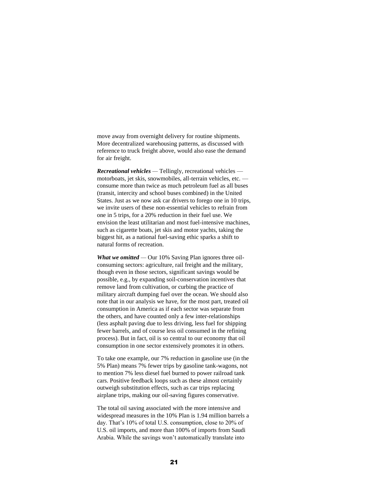move away from overnight delivery for routine shipments. More decentralized warehousing patterns, as discussed with reference to truck freight above, would also ease the demand for air freight.

*Recreational vehicles —* Tellingly, recreational vehicles motorboats, jet skis, snowmobiles, all-terrain vehicles, etc. consume more than twice as much petroleum fuel as all buses (transit, intercity and school buses combined) in the United States. Just as we now ask car drivers to forego one in 10 trips, we invite users of these non-essential vehicles to refrain from one in 5 trips, for a 20% reduction in their fuel use. We envision the least utilitarian and most fuel-intensive machines, such as cigarette boats, jet skis and motor yachts, taking the biggest hit, as a national fuel-saving ethic sparks a shift to natural forms of recreation.

*What we omitted* — Our 10% Saving Plan ignores three oilconsuming sectors: agriculture, rail freight and the military, though even in those sectors, significant savings would be possible, e.g., by expanding soil-conservation incentives that remove land from cultivation, or curbing the practice of military aircraft dumping fuel over the ocean. We should also note that in our analysis we have, for the most part, treated oil consumption in America as if each sector was separate from the others, and have counted only a few inter-relationships (less asphalt paving due to less driving, less fuel for shipping fewer barrels, and of course less oil consumed in the refining process). But in fact, oil is so central to our economy that oil consumption in one sector extensively promotes it in others.

To take one example, our 7% reduction in gasoline use (in the 5% Plan) means 7% fewer trips by gasoline tank-wagons, not to mention 7% less diesel fuel burned to power railroad tank cars. Positive feedback loops such as these almost certainly outweigh substitution effects, such as car trips replacing airplane trips, making our oil-saving figures conservative.

The total oil saving associated with the more intensive and widespread measures in the 10% Plan is 1.94 million barrels a day. That's 10% of total U.S. consumption, close to 20% of U.S. oil imports, and more than 100% of imports from Saudi Arabia. While the savings won't automatically translate into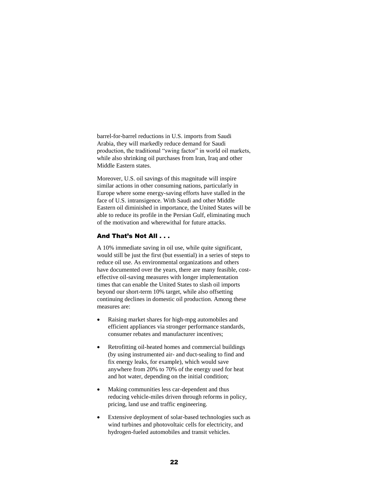barrel-for-barrel reductions in U.S. imports from Saudi Arabia, they will markedly reduce demand for Saudi production, the traditional "swing factor" in world oil markets, while also shrinking oil purchases from Iran, Iraq and other Middle Eastern states.

Moreover, U.S. oil savings of this magnitude will inspire similar actions in other consuming nations, particularly in Europe where some energy-saving efforts have stalled in the face of U.S. intransigence. With Saudi and other Middle Eastern oil diminished in importance, the United States will be able to reduce its profile in the Persian Gulf, eliminating much of the motivation and wherewithal for future attacks.

## And That's Not All . . .

A 10% immediate saving in oil use, while quite significant, would still be just the first (but essential) in a series of steps to reduce oil use. As environmental organizations and others have documented over the years, there are many feasible, costeffective oil-saving measures with longer implementation times that can enable the United States to slash oil imports beyond our short-term 10% target, while also offsetting continuing declines in domestic oil production. Among these measures are:

- Raising market shares for high-mpg automobiles and efficient appliances via stronger performance standards, consumer rebates and manufacturer incentives;
- Retrofitting oil-heated homes and commercial buildings (by using instrumented air- and duct-sealing to find and fix energy leaks, for example), which would save anywhere from 20% to 70% of the energy used for heat and hot water, depending on the initial condition;
- Making communities less car-dependent and thus reducing vehicle-miles driven through reforms in policy, pricing, land use and traffic engineering.
- Extensive deployment of solar-based technologies such as wind turbines and photovoltaic cells for electricity, and hydrogen-fueled automobiles and transit vehicles.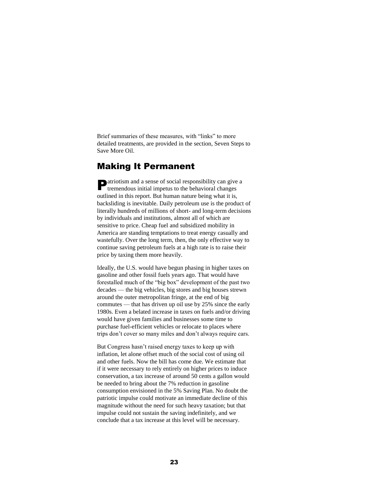Brief summaries of these measures, with "links" to more detailed treatments, are provided in the section, Seven Steps to Save More Oil.

# Making It Permanent

**D** atriotism and a sense of social responsibility can give a tremendous initial impetus to the behavioral changes tremendous initial impetus to the behavioral changes outlined in this report. But human nature being what it is, backsliding is inevitable. Daily petroleum use is the product of literally hundreds of millions of short- and long-term decisions by individuals and institutions, almost all of which are sensitive to price. Cheap fuel and subsidized mobility in America are standing temptations to treat energy casually and wastefully. Over the long term, then, the only effective way to continue saving petroleum fuels at a high rate is to raise their price by taxing them more heavily.

Ideally, the U.S. would have begun phasing in higher taxes on gasoline and other fossil fuels years ago. That would have forestalled much of the "big box" development of the past two decades — the big vehicles, big stores and big houses strewn around the outer metropolitan fringe, at the end of big commutes — that has driven up oil use by 25% since the early 1980s. Even a belated increase in taxes on fuels and/or driving would have given families and businesses some time to purchase fuel-efficient vehicles or relocate to places where trips don't cover so many miles and don't always require cars.

But Congress hasn't raised energy taxes to keep up with inflation, let alone offset much of the social cost of using oil and other fuels. Now the bill has come due. We estimate that if it were necessary to rely entirely on higher prices to induce conservation, a tax increase of around 50 cents a gallon would be needed to bring about the 7% reduction in gasoline consumption envisioned in the 5% Saving Plan. No doubt the patriotic impulse could motivate an immediate decline of this magnitude without the need for such heavy taxation; but that impulse could not sustain the saving indefinitely, and we conclude that a tax increase at this level will be necessary.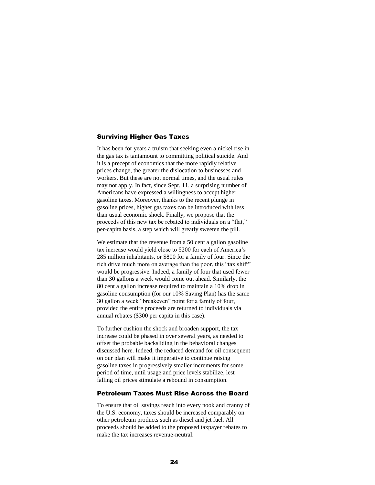#### Surviving Higher Gas Taxes

It has been for years a truism that seeking even a nickel rise in the gas tax is tantamount to committing political suicide. And it is a precept of economics that the more rapidly relative prices change, the greater the dislocation to businesses and workers. But these are not normal times, and the usual rules may not apply. In fact, since Sept. 11, a surprising number of Americans have expressed a willingness to accept higher gasoline taxes. Moreover, thanks to the recent plunge in gasoline prices, higher gas taxes can be introduced with less than usual economic shock. Finally, we propose that the proceeds of this new tax be rebated to individuals on a "flat," per-capita basis, a step which will greatly sweeten the pill.

We estimate that the revenue from a 50 cent a gallon gasoline tax increase would yield close to \$200 for each of America's 285 million inhabitants, or \$800 for a family of four. Since the rich drive much more on average than the poor, this "tax shift" would be progressive. Indeed, a family of four that used fewer than 30 gallons a week would come out ahead. Similarly, the 80 cent a gallon increase required to maintain a 10% drop in gasoline consumption (for our 10% Saving Plan) has the same 30 gallon a week "breakeven" point for a family of four, provided the entire proceeds are returned to individuals via annual rebates (\$300 per capita in this case).

To further cushion the shock and broaden support, the tax increase could be phased in over several years, as needed to offset the probable backsliding in the behavioral changes discussed here. Indeed, the reduced demand for oil consequent on our plan will make it imperative to continue raising gasoline taxes in progressively smaller increments for some period of time, until usage and price levels stabilize, lest falling oil prices stimulate a rebound in consumption.

## Petroleum Taxes Must Rise Across the Board

To ensure that oil savings reach into every nook and cranny of the U.S. economy, taxes should be increased comparably on other petroleum products such as diesel and jet fuel. All proceeds should be added to the proposed taxpayer rebates to make the tax increases revenue-neutral.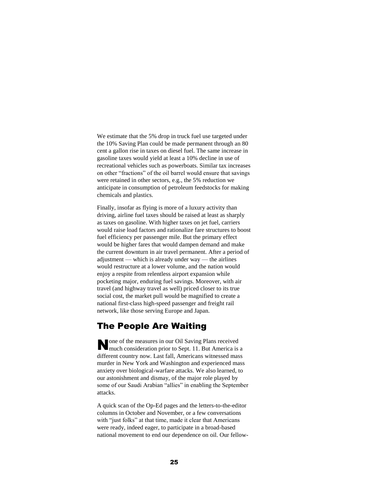We estimate that the 5% drop in truck fuel use targeted under the 10% Saving Plan could be made permanent through an 80 cent a gallon rise in taxes on diesel fuel. The same increase in gasoline taxes would yield at least a 10% decline in use of recreational vehicles such as powerboats. Similar tax increases on other "fractions" of the oil barrel would ensure that savings were retained in other sectors, e.g., the 5% reduction we anticipate in consumption of petroleum feedstocks for making chemicals and plastics.

Finally, insofar as flying is more of a luxury activity than driving, airline fuel taxes should be raised at least as sharply as taxes on gasoline. With higher taxes on jet fuel, carriers would raise load factors and rationalize fare structures to boost fuel efficiency per passenger mile. But the primary effect would be higher fares that would dampen demand and make the current downturn in air travel permanent. After a period of adjustment — which is already under way — the airlines would restructure at a lower volume, and the nation would enjoy a respite from relentless airport expansion while pocketing major, enduring fuel savings. Moreover, with air travel (and highway travel as well) priced closer to its true social cost, the market pull would be magnified to create a national first-class high-speed passenger and freight rail network, like those serving Europe and Japan.

# The People Are Waiting

None of the measures in our Oil Saving Plans received<br>
much consideration prior to Sept. 11. But America is much consideration prior to Sept. 11. But America is a different country now. Last fall, Americans witnessed mass murder in New York and Washington and experienced mass anxiety over biological-warfare attacks. We also learned, to our astonishment and dismay, of the major role played by some of our Saudi Arabian "allies" in enabling the September attacks.

A quick scan of the Op-Ed pages and the letters-to-the-editor columns in October and November, or a few conversations with "just folks" at that time, made it clear that Americans were ready, indeed eager, to participate in a broad-based national movement to end our dependence on oil. Our fellow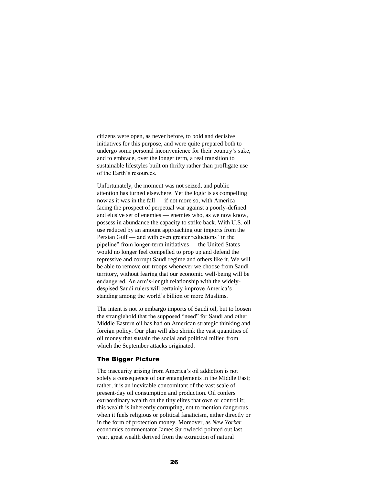citizens were open, as never before, to bold and decisive initiatives for this purpose, and were quite prepared both to undergo some personal inconvenience for their country's sake, and to embrace, over the longer term, a real transition to sustainable lifestyles built on thrifty rather than profligate use of the Earth's resources.

Unfortunately, the moment was not seized, and public attention has turned elsewhere. Yet the logic is as compelling now as it was in the fall — if not more so, with America facing the prospect of perpetual war against a poorly-defined and elusive set of enemies — enemies who, as we now know, possess in abundance the capacity to strike back. With U.S. oil use reduced by an amount approaching our imports from the Persian Gulf — and with even greater reductions "in the pipeline" from longer-term initiatives — the United States would no longer feel compelled to prop up and defend the repressive and corrupt Saudi regime and others like it. We will be able to remove our troops whenever we choose from Saudi territory, without fearing that our economic well-being will be endangered. An arm's-length relationship with the widelydespised Saudi rulers will certainly improve America's standing among the world's billion or more Muslims.

The intent is not to embargo imports of Saudi oil, but to loosen the stranglehold that the supposed "need" for Saudi and other Middle Eastern oil has had on American strategic thinking and foreign policy. Our plan will also shrink the vast quantities of oil money that sustain the social and political milieu from which the September attacks originated.

#### The Bigger Picture

The insecurity arising from America's oil addiction is not solely a consequence of our entanglements in the Middle East; rather, it is an inevitable concomitant of the vast scale of present-day oil consumption and production. Oil confers extraordinary wealth on the tiny elites that own or control it; this wealth is inherently corrupting, not to mention dangerous when it fuels religious or political fanaticism, either directly or in the form of protection money. Moreover, as *New Yorker*  economics commentator James Surowiecki pointed out last year, great wealth derived from the extraction of natural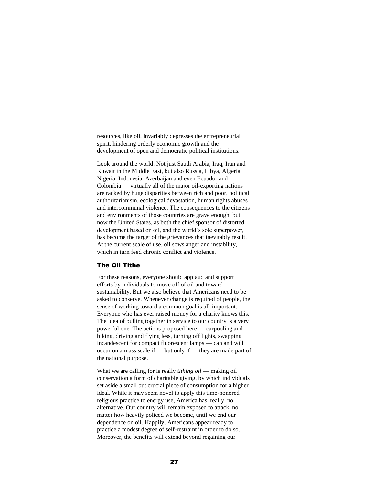resources, like oil, invariably depresses the entrepreneurial spirit, hindering orderly economic growth and the development of open and democratic political institutions.

Look around the world. Not just Saudi Arabia, Iraq, Iran and Kuwait in the Middle East, but also Russia, Libya, Algeria, Nigeria, Indonesia, Azerbaijan and even Ecuador and Colombia — virtually all of the major oil-exporting nations are racked by huge disparities between rich and poor, political authoritarianism, ecological devastation, human rights abuses and intercommunal violence. The consequences to the citizens and environments of those countries are grave enough; but now the United States, as both the chief sponsor of distorted development based on oil, and the world's sole superpower, has become the target of the grievances that inevitably result. At the current scale of use, oil sows anger and instability, which in turn feed chronic conflict and violence.

## The Oil Tithe

For these reasons, everyone should applaud and support efforts by individuals to move off of oil and toward sustainability. But we also believe that Americans need to be asked to conserve. Whenever change is required of people, the sense of working toward a common goal is all-important. Everyone who has ever raised money for a charity knows this. The idea of pulling together in service to our country is a very powerful one. The actions proposed here — carpooling and biking, driving and flying less, turning off lights, swapping incandescent for compact fluorescent lamps — can and will occur on a mass scale if — but only if — they are made part of the national purpose.

What we are calling for is really *tithing oil* — making oil conservation a form of charitable giving, by which individuals set aside a small but crucial piece of consumption for a higher ideal. While it may seem novel to apply this time-honored religious practice to energy use, America has, really, no alternative. Our country will remain exposed to attack, no matter how heavily policed we become, until we end our dependence on oil. Happily, Americans appear ready to practice a modest degree of self-restraint in order to do so. Moreover, the benefits will extend beyond regaining our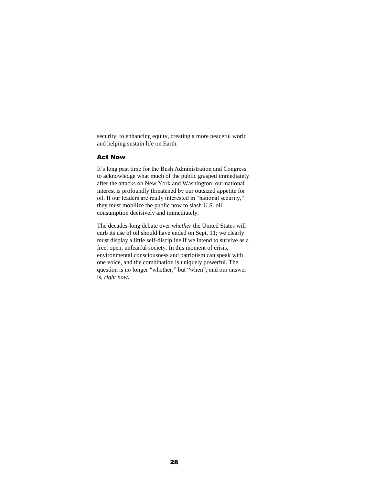security, to enhancing equity, creating a more peaceful world and helping sustain life on Earth.

### Act Now

It's long past time for the Bush Administration and Congress to acknowledge what much of the public grasped immediately after the attacks on New York and Washington: our national interest is profoundly threatened by our outsized appetite for oil. If our leaders are really interested in "national security," they must mobilize the public now to slash U.S. oil consumption decisively and immediately.

The decades-long debate over *whether* the United States will curb its use of oil should have ended on Sept. 11; we clearly must display a little self-discipline if we intend to survive as a free, open, unfearful society. In this moment of crisis, environmental consciousness and patriotism can speak with one voice, and the combination is uniquely powerful. The question is no longer "whether," but "when"; and our answer is, *right now*.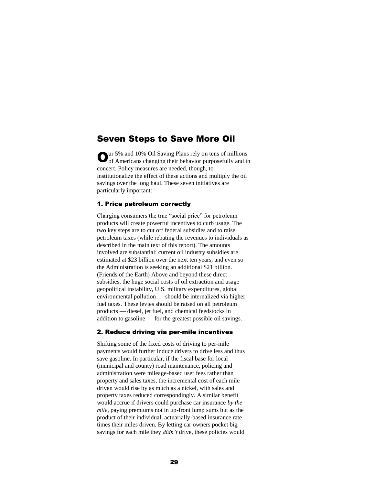# Seven Steps to Save More Oil

Our 5% and 10% Oil Saving Plans rely on tens of millions of Americans changing their behavior purposefully and in of Americans changing their behavior purposefully and in concert. Policy measures are needed, though, to institutionalize the effect of these actions and multiply the oil savings over the long haul. These seven initiatives are particularly important:

## 1. Price petroleum correctly

Charging consumers the true "social price" for petroleum products will create powerful incentives to curb usage. The two key steps are to cut off federal subsidies and to raise petroleum taxes (while rebating the revenues to individuals as described in the main text of this report). The amounts involved are substantial: current oil industry subsidies are estimated at \$23 billion over the next ten years, and even so the Administration is seeking an additional \$21 billion. (Friends of the Earth) Above and beyond these direct subsidies, the huge social costs of oil extraction and usage geopolitical instability, U.S. military expenditures, global environmental pollution — should be internalized via higher fuel taxes. These levies should be raised on all petroleum products — diesel, jet fuel, and chemical feedstocks in addition to gasoline — for the greatest possible oil savings.

#### 2. Reduce driving via per-mile incentives

Shifting some of the fixed costs of driving to per-mile payments would further induce drivers to drive less and thus save gasoline. In particular, if the fiscal base for local (municipal and county) road maintenance, policing and administration were mileage-based user fees rather than property and sales taxes, the incremental cost of each mile driven would rise by as much as a nickel, with sales and property taxes reduced correspondingly. A similar benefit would accrue if drivers could purchase car insurance *by the mile*, paying premiums not in up-front lump sums but as the product of their individual, actuarially-based insurance rate times their miles driven. By letting car owners pocket big savings for each mile they *didn't* drive, these policies would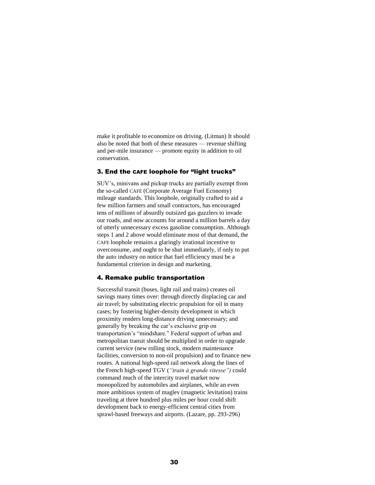make it profitable to economize on driving. (Litman) It should also be noted that both of these measures — revenue shifting and per-mile insurance — promote equity in addition to oil conservation.

#### 3. End the CAFE loophole for "light trucks"

SUV's, minivans and pickup trucks are partially exempt from the so-called CAFE (Corporate Average Fuel Economy) mileage standards. This loophole, originally crafted to aid a few million farmers and small contractors, has encouraged tens of millions of absurdly outsized gas guzzlers to invade our roads, and now accounts for around a million barrels a day of utterly unnecessary excess gasoline consumption. Although steps 1 and 2 above would eliminate most of that demand, the CAFE loophole remains a glaringly irrational incentive to overconsume, and ought to be shut immediately, if only to put the auto industry on notice that fuel efficiency must be a fundamental criterion in design and marketing.

#### 4. Remake public transportation

Successful transit (buses, light rail and trains) creates oil savings many times over: through directly displacing car and air travel; by substituting electric propulsion for oil in many cases; by fostering higher-density development in which proximity renders long-distance driving unnecessary; and generally by breaking the car's exclusive grip on transportation's "mindshare." Federal support of urban and metropolitan transit should be multiplied in order to upgrade current service (new rolling stock, modern maintenance facilities, conversion to non-oil propulsion) and to finance new routes. A national high-speed rail network along the lines of the French high-speed TGV (*"train à grande vitesse")* could command much of the intercity travel market now monopolized by automobiles and airplanes, while an even more ambitious system of maglev (magnetic levitation) trains traveling at three hundred plus miles per hour could shift development back to energy-efficient central cities from sprawl-based freeways and airports. (Lazare, pp. 293-296)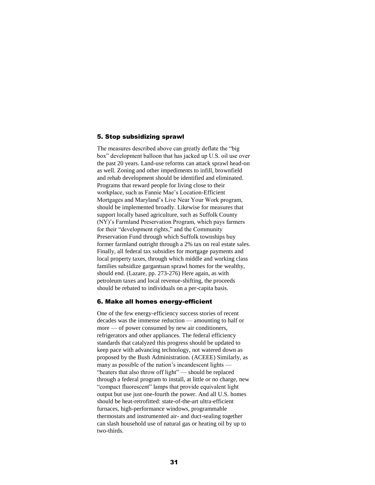#### 5. Stop subsidizing sprawl

The measures described above can greatly deflate the "big box" development balloon that has jacked up U.S. oil use over the past 20 years. Land-use reforms can attack sprawl head-on as well. Zoning and other impediments to infill, brownfield and rehab development should be identified and eliminated. Programs that reward people for living close to their workplace, such as Fannie Mae's Location-Efficient Mortgages and Maryland's Live Near Your Work program, should be implemented broadly. Likewise for measures that support locally based agriculture, such as Suffolk County (NY)'s Farmland Preservation Program, which pays farmers for their "development rights," and the Community Preservation Fund through which Suffolk townships buy former farmland outright through a 2% tax on real estate sales. Finally, all federal tax subsidies for mortgage payments and local property taxes, through which middle and working class families subsidize gargantuan sprawl homes for the wealthy, should end. (Lazare, pp. 273-276) Here again, as with petroleum taxes and local revenue-shifting, the proceeds should be rebated to individuals on a per-capita basis.

#### 6. Make all homes energy-efficient

One of the few energy-efficiency success stories of recent decades was the immense reduction — amounting to half or more — of power consumed by new air conditioners, refrigerators and other appliances. The federal efficiency standards that catalyzed this progress should be updated to keep pace with advancing technology, not watered down as proposed by the Bush Administration. (ACEEE) Similarly, as many as possible of the nation's incandescent lights — "heaters that also throw off light" — should be replaced through a federal program to install, at little or no charge, new "compact fluorescent" lamps that provide equivalent light output but use just one-fourth the power. And all U.S. homes should be heat-retrofitted: state-of-the-art ultra-efficient furnaces, high-performance windows, programmable thermostats and instrumented air- and duct-sealing together can slash household use of natural gas or heating oil by up to two-thirds.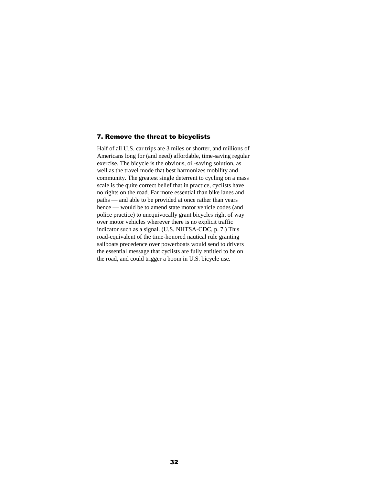#### 7. Remove the threat to bicyclists

Half of all U.S. car trips are 3 miles or shorter, and millions of Americans long for (and need) affordable, time-saving regular exercise. The bicycle is the obvious, oil-saving solution, as well as the travel mode that best harmonizes mobility and community. The greatest single deterrent to cycling on a mass scale is the quite correct belief that in practice, cyclists have no rights on the road. Far more essential than bike lanes and paths — and able to be provided at once rather than years hence — would be to amend state motor vehicle codes (and police practice) to unequivocally grant bicycles right of way over motor vehicles wherever there is no explicit traffic indicator such as a signal. (U.S. NHTSA-CDC, p. 7.) This road-equivalent of the time-honored nautical rule granting sailboats precedence over powerboats would send to drivers the essential message that cyclists are fully entitled to be on the road, and could trigger a boom in U.S. bicycle use.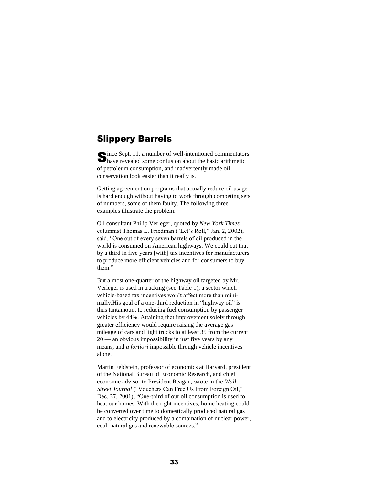# Slippery Barrels

ince Sept. 11, a number of well-intentioned commentators Since Sept. 11, a number of well-intentioned commentator<br>have revealed some confusion about the basic arithmetic of petroleum consumption, and inadvertently made oil conservation look easier than it really is.

Getting agreement on programs that actually reduce oil usage is hard enough without having to work through competing sets of numbers, some of them faulty. The following three examples illustrate the problem:

Oil consultant Philip Verleger, quoted by *New York Times* columnist Thomas L. Friedman ("Let's Roll," Jan. 2, 2002), said, "One out of every seven barrels of oil produced in the world is consumed on American highways. We could cut that by a third in five years [with] tax incentives for manufacturers to produce more efficient vehicles and for consumers to buy them."

But almost one-quarter of the highway oil targeted by Mr. Verleger is used in trucking (see Table 1), a sector which vehicle-based tax incentives won't affect more than minimally.His goal of a one-third reduction in "highway oil" is thus tantamount to reducing fuel consumption by passenger vehicles by 44%. Attaining that improvement solely through greater efficiency would require raising the average gas mileage of cars and light trucks to at least 35 from the current 20 — an obvious impossibility in just five years by any means, and *a fortiori* impossible through vehicle incentives alone.

Martin Feldstein, professor of economics at Harvard, president of the National Bureau of Economic Research, and chief economic advisor to President Reagan, wrote in the *Wall Street Journal* ("Vouchers Can Free Us From Foreign Oil," Dec. 27, 2001), "One-third of our oil consumption is used to heat our homes. With the right incentives, home heating could be converted over time to domestically produced natural gas and to electricity produced by a combination of nuclear power, coal, natural gas and renewable sources."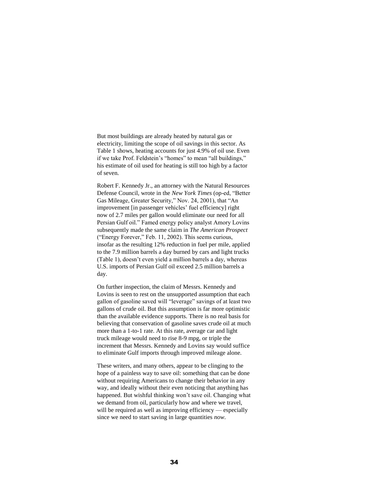But most buildings are already heated by natural gas or electricity, limiting the scope of oil savings in this sector. As Table 1 shows, heating accounts for just 4.9% of oil use. Even if we take Prof. Feldstein's "homes" to mean "all buildings," his estimate of oil used for heating is still too high by a factor of seven.

Robert F. Kennedy Jr., an attorney with the Natural Resources Defense Council, wrote in the *New York Times* (op-ed, "Better Gas Mileage, Greater Security," Nov. 24, 2001), that "An improvement [in passenger vehicles' fuel efficiency] right now of 2.7 miles per gallon would eliminate our need for all Persian Gulf oil." Famed energy policy analyst Amory Lovins subsequently made the same claim in *The American Prospect* ("Energy Forever," Feb. 11, 2002). This seems curious, insofar as the resulting 12% reduction in fuel per mile, applied to the 7.9 million barrels a day burned by cars and light trucks (Table 1), doesn't even yield a million barrels a day, whereas U.S. imports of Persian Gulf oil exceed 2.5 million barrels a day.

On further inspection, the claim of Messrs. Kennedy and Lovins is seen to rest on the unsupported assumption that each gallon of gasoline saved will "leverage" savings of at least two gallons of crude oil. But this assumption is far more optimistic than the available evidence supports. There is no real basis for believing that conservation of gasoline saves crude oil at much more than a 1-to-1 rate. At this rate, average car and light truck mileage would need to rise 8-9 mpg, or triple the increment that Messrs. Kennedy and Lovins say would suffice to eliminate Gulf imports through improved mileage alone.

These writers, and many others, appear to be clinging to the hope of a painless way to save oil: something that can be done without requiring Americans to change their behavior in any way, and ideally without their even noticing that anything has happened. But wishful thinking won't save oil. Changing what we demand from oil, particularly how and where we travel, will be required as well as improving efficiency — especially since we need to start saving in large quantities *now*.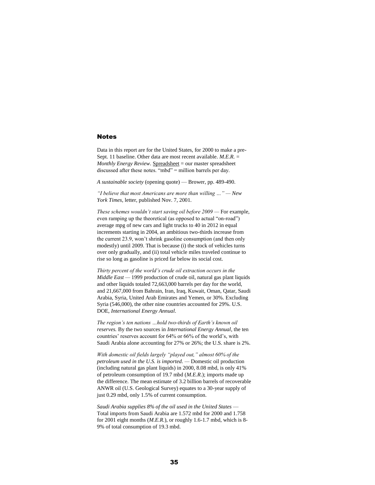#### Notes

Data in this report are for the United States, for 2000 to make a pre-Sept. 11 baseline. Other data are most recent available. *M.E.R.* = *Monthly Energy Review.* Spreadsheet = our master spreadsheet discussed after these notes. "mbd" = million barrels per day.

*A sustainable society* (opening quote) — Brower, pp. 489-490.

*"I believe that most Americans are more than willing …" — New York Times*, letter, published Nov. 7, 2001.

*These schemes wouldn't start saving oil before 2009 —* For example, even ramping up the theoretical (as opposed to actual "on-road") average mpg of new cars and light trucks to 40 in 2012 in equal increments starting in 2004, an ambitious two-thirds increase from the current 23.9, won't shrink gasoline consumption (and then only modestly) until 2009. That is because (i) the stock of vehicles turns over only gradually, and (ii) total vehicle miles traveled continue to rise so long as gasoline is priced far below its social cost.

*Thirty percent of the world's crude oil extraction occurs in the Middle East —* 1999 production of crude oil, natural gas plant liquids and other liquids totaled 72,663,000 barrels per day for the world, and 21,667,000 from Bahrain, Iran, Iraq, Kuwait, Oman, Qatar, Saudi Arabia, Syria, United Arab Emirates and Yemen, or 30%. Excluding Syria (546,000), the other nine countries accounted for 29%. U.S. DOE, *International Energy Annual*.

*The region's ten nations …hold two-thirds of Earth's known oil reserves.* By the two sources in *International Energy Annual*, the ten countries' reserves account for 64% or 66% of the world's, with Saudi Arabia alone accounting for 27% or 26%; the U.S. share is 2%.

*With domestic oil fields largely "played out," almost 60% of the petroleum used in the U.S. is imported. —* Domestic oil production (including natural gas plant liquids) in 2000, 8.08 mbd, is only 41% of petroleum consumption of 19.7 mbd (*M.E.R*.); imports made up the difference. The mean estimate of 3.2 billion barrels of recoverable ANWR oil (U.S. Geological Survey) equates to a 30-year supply of just 0.29 mbd, only 1.5% of current consumption.

*Saudi Arabia supplies 8% of the oil used in the United States* — Total imports from Saudi Arabia are 1.572 mbd for 2000 and 1.758 for 2001 eight months (*M.E.R.*), or roughly 1.6-1.7 mbd, which is 8- 9% of total consumption of 19.3 mbd.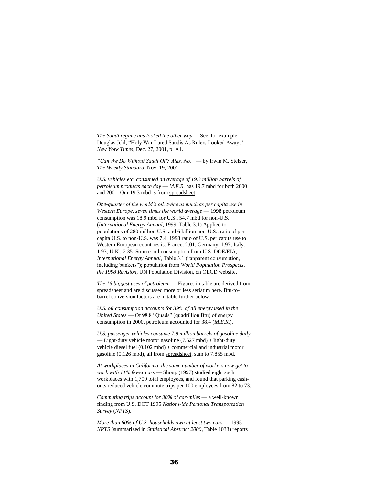*The Saudi regime has looked the other way —* See, for example, Douglas Jehl, "Holy War Lured Saudis As Rulers Looked Away," *New York Times*, Dec. 27, 2001, p. A1.

*"Can We Do Without Saudi Oil? Alas, No."* — by Irwin M. Stelzer, *The Weekly Standard*, Nov. 19, 2001.

*U.S. vehicles etc. consumed an average of 19.3 million barrels of petroleum products each day* — *M.E.R.* has 19.7 mbd for both 2000 and 2001. Our 19.3 mbd is from spreadsheet.

*One-quarter of the world's oil, twice as much as per capita use in Western Europe, seven times the world average* — 1998 petroleum consumption was 18.9 mbd for U.S., 54.7 mbd for non-U.S. (*International Energy Annual*, 1999, Table 3.1) Applied to populations of 280 million U.S. and 6 billion non-U.S., ratio of per capita U.S. to non-U.S. was 7.4. 1998 ratio of U.S. per capita use to Western European countries is: France, 2.01; Germany, 1.97; Italy, 1.93; U.K., 2.35. Source: oil consumption from U.S. DOE/EIA, *International Energy Annual*, Table 3.1 ("apparent consumption, including bunkers"); population from *World Population Prospects, the 1998 Revision*, UN Population Division, on OECD website.

*The 16 biggest uses of petroleum* — Figures in table are derived from spreadsheet and are discussed more or less seriatim here. Btu-tobarrel conversion factors are in table further below.

*U.S. oil consumption accounts for 39% of all energy used in the United States* — Of 98.8 "Quads" (quadrillion Btu) of energy consumption in 2000, petroleum accounted for 38.4 (*M.E.R*.).

*U.S. passenger vehicles consume 7.9 million barrels of gasoline daily*  — Light-duty vehicle motor gasoline (7.627 mbd) + light-duty vehicle diesel fuel (0.102 mbd) + commercial and industrial motor gasoline (0.126 mbd), all from spreadsheet, sum to 7.855 mbd.

*At workplaces in California, the same number of workers now get to work with 11% fewer cars* — Shoup (1997) studied eight such workplaces with 1,700 total employees, and found that parking cashouts reduced vehicle commute trips per 100 employees from 82 to 73.

*Commuting trips account for 30% of car-miles* — a well-known finding from U.S. DOT 1995 *Nationwide Personal Transportation Survey* (*NPTS*).

*More than 60% of U.S. households own at least two cars - 1995 NPTS* (summarized in *Statistical Abstract 2000*, Table 1033) reports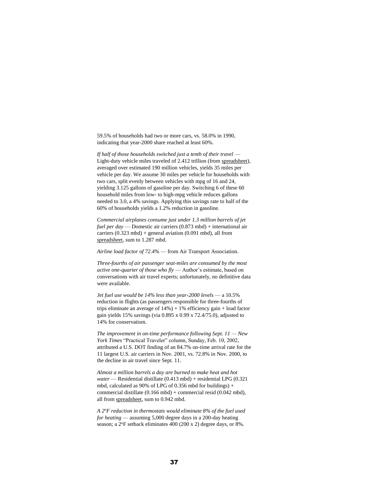59.5% of households had two or more cars, vs. 58.0% in 1990, indicating that year-2000 share reached at least 60%.

If half of those households switched just a tenth of their travel — Light-duty vehicle miles traveled of 2.412 trillion (from spreadsheet), averaged over estimated 190 million vehicles, yields 35 miles per vehicle per day. We assume 30 miles per vehicle for households with two cars, split evenly between vehicles with mpg of 16 and 24, yielding 3.125 gallons of gasoline per day. Switching 6 of these 60 household miles from low- to high-mpg vehicle reduces gallons needed to 3.0, a 4% savings. Applying this savings rate to half of the 60% of households yields a 1.2% reduction in gasoline.

*Commercial airplanes consume just under 1.3 million barrels of jet fuel per day* — Domestic air carriers (0.873 mbd) + international air carriers  $(0.323 \text{ mbd})$  + general aviation  $(0.091 \text{ mbd})$ , all from spreadsheet, sum to 1.287 mbd.

*Airline load factor of 72.4%* — from Air Transport Association.

*Three-fourths of air passenger seat-miles are consumed by the most active one-quarter of those who fly* — Author's estimate, based on conversations with air travel experts; unfortunately, no definitive data were available.

*Jet fuel use would be 14% less than year-2000 levels* — a 10.5% reduction in flights (as passengers responsible for three-fourths of trips eliminate an average of  $14\%$ ) + 1% efficiency gain + load factor gain yields 15% savings (via 0.895 x 0.99 x 72.4/75.0), adjusted to 14% for conservatism.

*The improvement in on-time performance following Sept. 11 — New York Times* "Practical Traveler" column, Sunday, Feb. 10, 2002, attributed a U.S. DOT finding of an 84.7% on-time arrival rate for the 11 largest U.S. air carriers in Nov. 2001, vs. 72.8% in Nov. 2000, to the decline in air travel since Sept. 11.

*Almost a million barrels a day are burned to make heat and hot water* — Residential distillate (0.413 mbd) + residential LPG (0.321 mbd, calculated as 90% of LPG of 0.356 mbd for buildings) + commercial distillate (0.166 mbd) + commercial resid (0.042 mbd), all from spreadsheet, sum to 0.942 mbd.

*A 2<sup>o</sup>F reduction in thermostats would eliminate 8% of the fuel used for heating* — assuming 5,000 degree days in a 200-day heating season; a 2°F setback eliminates 400 (200 x 2) degree days, or 8%.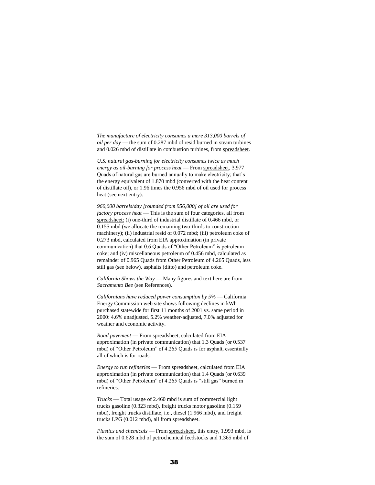*The manufacture of electricity consumes a mere 313,000 barrels of oil per day* — the sum of 0.287 mbd of resid burned in steam turbines and 0.026 mbd of distillate in combustion turbines, from spreadsheet.

*U.S. natural gas-burning for electricity consumes twice as much energy as oil-burning for process heat* — From spreadsheet, 3.977 Quads of natural gas are burned annually to make electricity; that's the energy equivalent of 1.870 mbd (converted with the heat content of distillate oil), or 1.96 times the 0.956 mbd of oil used for process heat (see next entry).

*960,000 barrels/day [rounded from 956,000] of oil are used for factory process heat* — This is the sum of four categories, all from spreadsheet: (i) one-third of industrial distillate of 0.466 mbd, or 0.155 mbd (we allocate the remaining two-thirds to construction machinery); (ii) industrial resid of 0.072 mbd; (iii) petroleum coke of 0.273 mbd, calculated from EIA approximation (in private communication) that 0.6 Quads of "Other Petroleum" is petroleum coke; and (iv) miscellaneous petroleum of 0.456 mbd, calculated as remainder of 0.965 Quads from Other Petroleum of 4.265 Quads, less still gas (see below), asphalts (ditto) and petroleum coke.

*California Shows the Way* — Many figures and text here are from *Sacramento Bee* (see References).

*Californians have reduced power consumption by 5%* — California Energy Commission web site shows following declines in kWh purchased statewide for first 11 months of 2001 vs. same period in 2000: 4.6% unadjusted, 5.2% weather-adjusted, 7.0% adjusted for weather and economic activity.

*Road pavement* — From spreadsheet, calculated from EIA approximation (in private communication) that 1.3 Quads (or 0.537 mbd) of "Other Petroleum" of 4.265 Quads is for asphalt, essentially all of which is for roads.

*Energy to run refineries* — From spreadsheet, calculated from EIA approximation (in private communication) that 1.4 Quads (or 0.639 mbd) of "Other Petroleum" of 4.265 Quads is "still gas" burned in refineries.

*Trucks* — Total usage of 2.460 mbd is sum of commercial light trucks gasoline (0.323 mbd), freight trucks motor gasoline (0.159 mbd), freight trucks distillate, i.e., diesel (1.966 mbd), and freight trucks LPG (0.012 mbd), all from spreadsheet.

*Plastics and chemicals* — From spreadsheet, this entry, 1.993 mbd, is the sum of 0.628 mbd of petrochemical feedstocks and 1.365 mbd of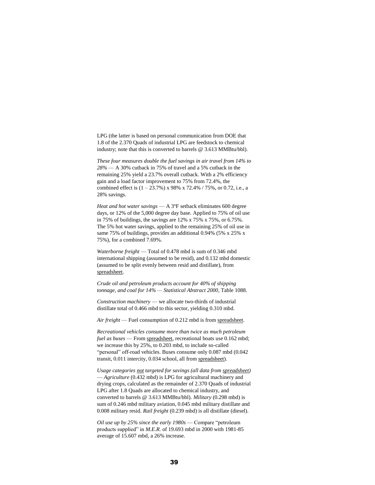LPG (the latter is based on personal communication from DOE that 1.8 of the 2.370 Quads of industrial LPG are feedstock to chemical industry; note that this is converted to barrels @ 3.613 MMBtu/bbl).

*These four measures double the fuel savings in air travel from 14% to 28%* — A 30% cutback in 75% of travel and a 5% cutback in the remaining 25% yield a 23.7% overall cutback. With a 2% efficiency gain and a load factor improvement to 75% from 72.4%, the combined effect is  $(1 - 23.7\%)$  x 98% x 72.4% / 75%, or 0.72, i.e., a 28% savings.

*Heat and hot water savings* — A 3°F setback eliminates 600 degree days, or 12% of the 5,000 degree day base. Applied to 75% of oil use in 75% of buildings, the savings are  $12\%$  x 75% x 75%, or 6.75%. The 5% hot water savings, applied to the remaining 25% of oil use in same 75% of buildings, provides an additional 0.94% (5% x 25% x 75%), for a combined 7.69%.

*Waterborne freight* — Total of 0.478 mbd is sum of 0.346 mbd international shipping (assumed to be resid), and 0.132 mbd domestic (assumed to be split evenly between resid and distillate), from spreadsheet.

*Crude oil and petroleum products account for 40% of shipping tonnage, and coal for 14% — Statistical Abstract 2000*, Table 1088.

*Construction machinery* — we allocate two-thirds of industrial distillate total of 0.466 mbd to this sector, yielding 0.310 mbd.

*Air freight* — Fuel consumption of 0.212 mbd is from spreadsheet.

*Recreational vehicles consume more than twice as much petroleum fuel as buses* — From *spreadsheet*, recreational boats use 0.162 mbd; we increase this by 25%, to 0.203 mbd, to include so-called "personal" off-road vehicles. Buses consume only 0.087 mbd (0.042 transit, 0.011 intercity, 0.034 school, all from spreadsheet).

*Usage categories not targeted for savings (all data from spreadsheet)*  — *Agriculture* (0.432 mbd) is LPG for agricultural machinery and drying crops, calculated as the remainder of 2.370 Quads of industrial LPG after 1.8 Quads are allocated to chemical industry, and converted to barrels @ 3.613 MMBtu/bbl). *Military* (0.298 mbd) is sum of 0.246 mbd military aviation, 0.045 mbd military distillate and 0.008 military resid. *Rail freight* (0.239 mbd) is all distillate (diesel).

*Oil use up by 25% since the early 1980s* — Compare "petroleum products supplied" in *M.E.R.* of 19.693 mbd in 2000 with 1981-85 average of 15.607 mbd, a 26% increase.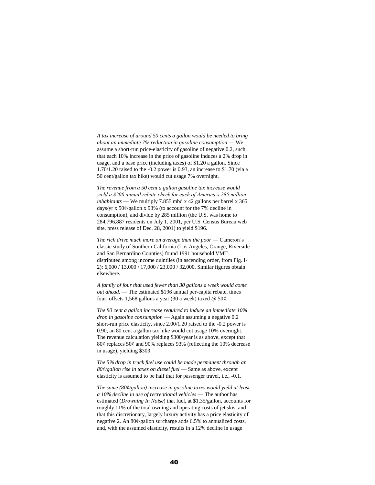*A tax increase of around 50 cents a gallon would be needed to bring about an immediate 7% reduction in gasoline consumption* — We assume a short-run price-elasticity of gasoline of negative 0.2, such that each 10% increase in the price of gasoline induces a 2% drop in usage, and a base price (including taxes) of \$1.20 a gallon. Since 1.70/1.20 raised to the -0.2 power is 0.93, an increase to \$1.70 (via a 50 cent/gallon tax hike) would cut usage 7% overnight.

*The revenue from a 50 cent a gallon gasoline tax increase would yield a \$200 annual rebate check for each of America's 285 million inhabitants* — We multiply 7.855 mbd x 42 gallons per barrel x 365 days/yr x 50¢/gallon x 93% (to account for the 7% decline in consumption), and divide by 285 million (the U.S. was home to 284,796,887 residents on July 1, 2001, per U.S. Census Bureau web site, press release of Dec. 28, 2001) to yield \$196.

*The rich drive much more on average than the poor* — Cameron's classic study of Southern California (Los Angeles, Orange, Riverside and San Bernardino Counties) found 1991 household VMT distributed among income quintiles (in ascending order, from Fig. I-2): 6,000 / 13,000 / 17,000 / 23,000 / 32,000. Similar figures obtain elsewhere.

*A family of four that used fewer than 30 gallons a week would come out ahead.* — The estimated \$196 annual per-capita rebate, times four, offsets 1,568 gallons a year (30 a week) taxed  $@$  50 $¢$ .

*The 80 cent a gallon increase required to induce an immediate 10% drop in gasoline consumption* — Again assuming a negative 0.2 short-run price elasticity, since 2.00/1.20 raised to the -0.2 power is 0.90, an 80 cent a gallon tax hike would cut usage 10% overnight. The revenue calculation yielding \$300/year is as above, except that 80¢ replaces 50¢ and 90% replaces 93% (reflecting the 10% decrease in usage), yielding \$303.

*The 5% drop in truck fuel use could be made permanent through an 80¢/gallon rise in taxes on diesel fuel* — Same as above, except elasticity is assumed to be half that for passenger travel, i.e., -0.1.

*The same (80¢/gallon) increase in gasoline taxes would yield at least a 10% decline in use of recreational vehicles* — The author has estimated (*Drowning In Noise*) that fuel, at \$1.35/gallon, accounts for roughly 11% of the total owning and operating costs of jet skis, and that this discretionary, largely luxury activity has a price elasticity of negative 2. An 80¢/gallon surcharge adds 6.5% to annualized costs, and, with the assumed elasticity, results in a 12% decline in usage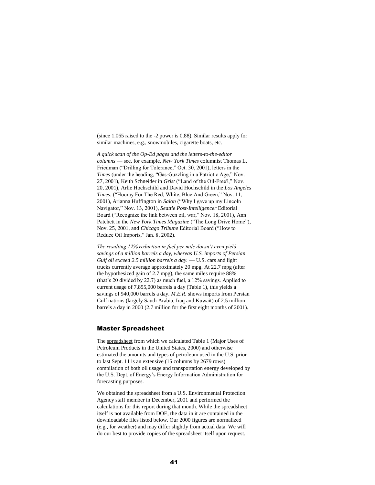(since 1.065 raised to the -2 power is 0.88). Similar results apply for similar machines, e.g., snowmobiles, cigarette boats, etc.

*A quick scan of the Op-Ed pages and the letters-to-the-editor columns* — see, for example, *New York Times* columnist Thomas L. Friedman ("Drilling for Tolerance," Oct. 30, 2001), letters in the *Times* (under the heading, "Gas-Guzzling in a Patriotic Age," Nov. 27, 2001), Keith Schneider in *Grist* ("Land of the Oil-Free?," Nov. 20, 2001), Arlie Hochschild and David Hochschild in the *Los Angeles Times*, ("Hooray For The Red, White, Blue And Green," Nov. 11, 2001), Arianna Huffington in *Salon* ("Why I gave up my Lincoln Navigator," Nov. 13, 2001), *Seattle Post-Intelligencer* Editorial Board ("Recognize the link between oil, war," Nov. 18, 2001), Ann Patchett in the *New York Times Magazine* ("The Long Drive Home"), Nov. 25, 2001, and *Chicago Tribune* Editorial Board ("How to Reduce Oil Imports," Jan. 8, 2002).

*The resulting 12% reduction in fuel per mile doesn't even yield savings of a million barrels a day, whereas U.S. imports of Persian Gulf oil exceed 2.5 million barrels a day.* — U.S. cars and light trucks currently average approximately 20 mpg. At 22.7 mpg (after the hypothesized gain of 2.7 mpg), the same miles require 88% (that's 20 divided by 22.7) as much fuel, a 12% savings. Applied to current usage of 7,855,000 barrels a day (Table 1), this yields a savings of 940,000 barrels a day. *M.E.R.* shows imports from Persian Gulf nations (largely Saudi Arabia, Iraq and Kuwait) of 2.5 million barrels a day in 2000 (2.7 million for the first eight months of 2001).

#### Master Spreadsheet

The spreadsheet from which we calculated Table 1 (Major Uses of Petroleum Products in the United States, 2000) and otherwise estimated the amounts and types of petroleum used in the U.S. prior to last Sept. 11 is an extensive (15 columns by 2679 rows) compilation of both oil usage and transportation energy developed by the U.S. Dept. of Energy's Energy Information Administration for forecasting purposes.

We obtained the spreadsheet from a U.S. Environmental Protection Agency staff member in December, 2001 and performed the calculations for this report during that month. While the spreadsheet itself is not available from DOE, the data in it are contained in the downloadable files listed below. Our 2000 figures are normalized (e.g., for weather) and may differ slightly from actual data. We will do our best to provide copies of the spreadsheet itself upon request.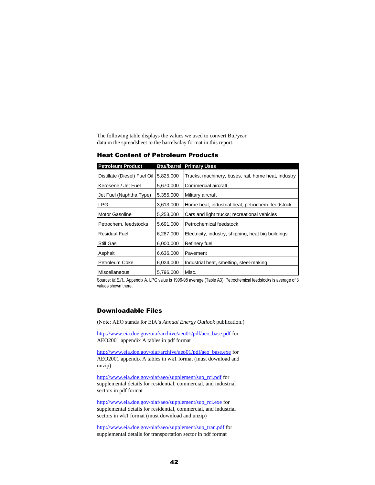The following table displays the values we used to convert Btu/year data in the spreadsheet to the barrels/day format in this report.

## Heat Content of Petroleum Products

| <b>Petroleum Product</b>     |           | <b>Btu//barrel Primary Uses</b>                     |
|------------------------------|-----------|-----------------------------------------------------|
| Distillate (Diesel) Fuel Oil | 5,825,000 | Trucks, machinery, buses, rail, home heat, industry |
| Kerosene / Jet Fuel          | 5,670,000 | Commercial aircraft                                 |
| Jet Fuel (Naphtha Type)      | 5,355,000 | Military aircraft                                   |
| <b>LPG</b>                   | 3,613,000 | Home heat, industrial heat, petrochem. feedstock    |
| Motor Gasoline               | 5,253,000 | Cars and light trucks; recreational vehicles        |
| Petrochem. feedstocks        | 5,691,000 | Petrochemical feedstock                             |
| <b>Residual Fuel</b>         | 6,287,000 | Electricity, industry, shipping, heat big buildings |
| Still Gas                    | 6,000,000 | Refinery fuel                                       |
| Asphalt                      | 6.636.000 | Pavement                                            |
| Petroleum Coke               | 6,024,000 | Industrial heat, smelting, steel-making             |
| Miscellaneous                | 5,796,000 | Misc.                                               |

Source: *M.E.R.*, Appendix A. LPG value is 1996-98 average (Table A3). Petrochemical feedstocks is average of 3 values shown there.

## Downloadable Files

(Note: AEO stands for EIA's *Annual Energy Outlook* publication.)

[http://www.eia.doe.gov/oiaf/archive/aeo01/pdf/aeo\\_base.pdf](http://www.eia.doe.gov/oiaf/archive/aeo01/pdf/aeo_base.pdf) for AEO2001 appendix A tables in pdf format

[http://www.eia.doe.gov/oiaf/archive/aeo01/pdf/aeo\\_base.exe](http://www.eia.doe.gov/oiaf/archive/aeo01/pdf/aeo_base.exe) for AEO2001 appendix A tables in wk1 format (must download and unzip)

[http://www.eia.doe.gov/oiaf/aeo/supplement/sup\\_rci.pdf](http://www.eia.doe.gov/oiaf/aeo/supplement/sup_rci.pdf) for supplemental details for residential, commercial, and industrial sectors in pdf format

[http://www.eia.doe.gov/oiaf/aeo/supplement/sup\\_rci.exe](http://www.eia.doe.gov/oiaf/aeo/supplement/sup_rci.exe) for supplemental details for residential, commercial, and industrial sectors in wk1 format (must download and unzip)

[http://www.eia.doe.gov/oiaf/aeo/supplement/sup\\_tran.pdf](http://www.eia.doe.gov/oiaf/aeo/supplement/sup_tran.pdf) for supplemental details for transportation sector in pdf format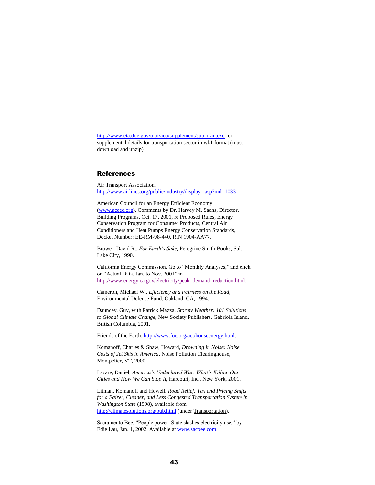[http://www.eia.doe.gov/oiaf/aeo/supplement/sup\\_tran.exe](http://www.eia.doe.gov/oiaf/aeo/supplement/sup_tran.exe) for supplemental details for transportation sector in wk1 format (must download and unzip)

## References

Air Transport Association, <http://www.airlines.org/public/industry/display1.asp?nid=1033>

American Council for an Energy Efficient Economy [\(www.aceee.org\)](http://www.aceee.org/), Comments by Dr. Harvey M. Sachs, Director, Building Programs, Oct. 17, 2001, re Proposed Rules, Energy Conservation Program for Consumer Products, Central Air Conditioners and Heat Pumps Energy Conservation Standards, Docket Number: EE-RM-98-440, RIN 1904-AA77.

Brower, David R., *For Earth's Sake*, Peregrine Smith Books, Salt Lake City, 1990.

California Energy Commission. Go to "Monthly Analyses," and click on "Actual Data, Jan. to Nov. 2001" in [http://www.energy.ca.gov/electricity/peak\\_demand\\_reduction.html.](http://www.energy.ca.gov/electricity/peak_demand_reduction.html) 

Cameron, Michael W., *Efficiency and Fairness on the Road*, Environmental Defense Fund, Oakland, CA, 1994.

Dauncey, Guy, with Patrick Mazza, *Stormy Weather: 101 Solutions to Global Climate Change*, New Society Publishers, Gabriola Island, British Columbia, 2001.

Friends of the Earth[, http://www.foe.org/act/houseenergy.html.](http://www.foe.org/act/houseenergy.html)

Komanoff, Charles & Shaw, Howard, *Drowning in Noise: Noise Costs of Jet Skis in America*, Noise Pollution Clearinghouse, Montpelier, VT, 2000.

Lazare, Daniel, *America's Undeclared War: What's Killing Our Cities and How We Can Stop It*, Harcourt, Inc., New York, 2001.

Litman, Komanoff and Howell, *Road Relief: Tax and Pricing Shifts for a Fairer, Cleaner, and Less Congested Transportation System in Washington State* (1998), available from <http://climatesolutions.org/pub.html> (under Transportation).

Sacramento Bee, "People power: State slashes electricity use," by Edie Lau, Jan. 1, 2002. Available a[t www.sacbee.com.](http://www.sacbee.com/)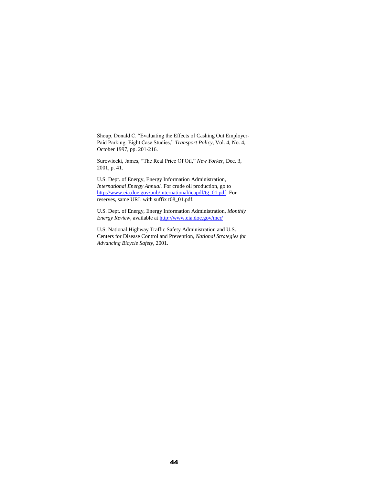Shoup, Donald C. "Evaluating the Effects of Cashing Out Employer-Paid Parking: Eight Case Studies," *Transport Policy,* Vol. 4, No. 4, October 1997, pp. 201-216.

Surowiecki, James, "The Real Price Of Oil," *New Yorker*, Dec. 3, 2001, p. 41.

U.S. Dept. of Energy, Energy Information Administration, *International Energy Annual.* For crude oil production, go to [http://www.eia.doe.gov/pub/international/ieapdf/tg\\_01.pdf.](http://www.eia.doe.gov/pub/international/ieapdf/tg_01.pdf) For reserves, same URL with suffix t08\_01.pdf.

U.S. Dept. of Energy, Energy Information Administration, *Monthly Energy Review*, available a[t http://www.eia.doe.gov/mer/](http://www.eia.doe.gov/mer/)

U.S. National Highway Traffic Safety Administration and U.S. Centers for Disease Control and Prevention, *National Strategies for Advancing Bicycle Safety*, 2001.